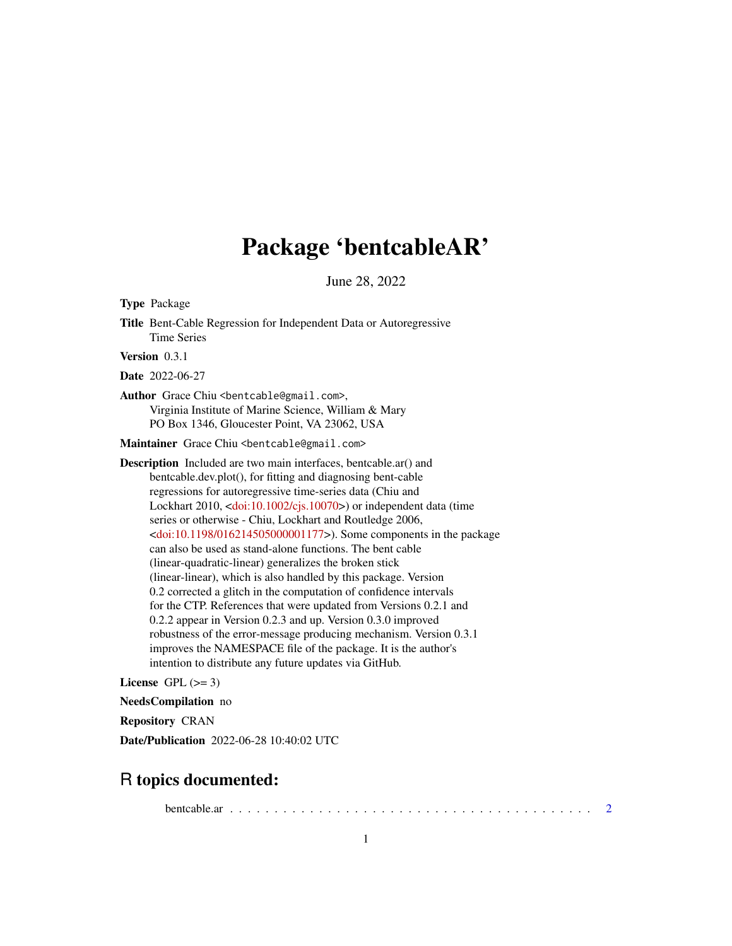# Package 'bentcableAR'

June 28, 2022

<span id="page-0-0"></span>Type Package Title Bent-Cable Regression for Independent Data or Autoregressive Time Series Version 0.3.1 Date 2022-06-27 Author Grace Chiu <br/>bentcable@gmail.com>, Virginia Institute of Marine Science, William & Mary PO Box 1346, Gloucester Point, VA 23062, USA Maintainer Grace Chiu <bentcable@gmail.com> Description Included are two main interfaces, bentcable.ar() and

bentcable.dev.plot(), for fitting and diagnosing bent-cable regressions for autoregressive time-series data (Chiu and Lockhart 2010, [<doi:10.1002/cjs.10070>](https://doi.org/10.1002/cjs.10070)) or independent data (time series or otherwise - Chiu, Lockhart and Routledge 2006, [<doi:10.1198/016214505000001177>](https://doi.org/10.1198/016214505000001177)). Some components in the package can also be used as stand-alone functions. The bent cable (linear-quadratic-linear) generalizes the broken stick (linear-linear), which is also handled by this package. Version 0.2 corrected a glitch in the computation of confidence intervals for the CTP. References that were updated from Versions 0.2.1 and 0.2.2 appear in Version 0.2.3 and up. Version 0.3.0 improved robustness of the error-message producing mechanism. Version 0.3.1 improves the NAMESPACE file of the package. It is the author's intention to distribute any future updates via GitHub.

License GPL  $(>= 3)$ 

NeedsCompilation no

Repository CRAN

Date/Publication 2022-06-28 10:40:02 UTC

# R topics documented:

bentcable.ar . . . . . . . . . . . . . . . . . . . . . . . . . . . . . . . . . . . . . . . . . [2](#page-1-0)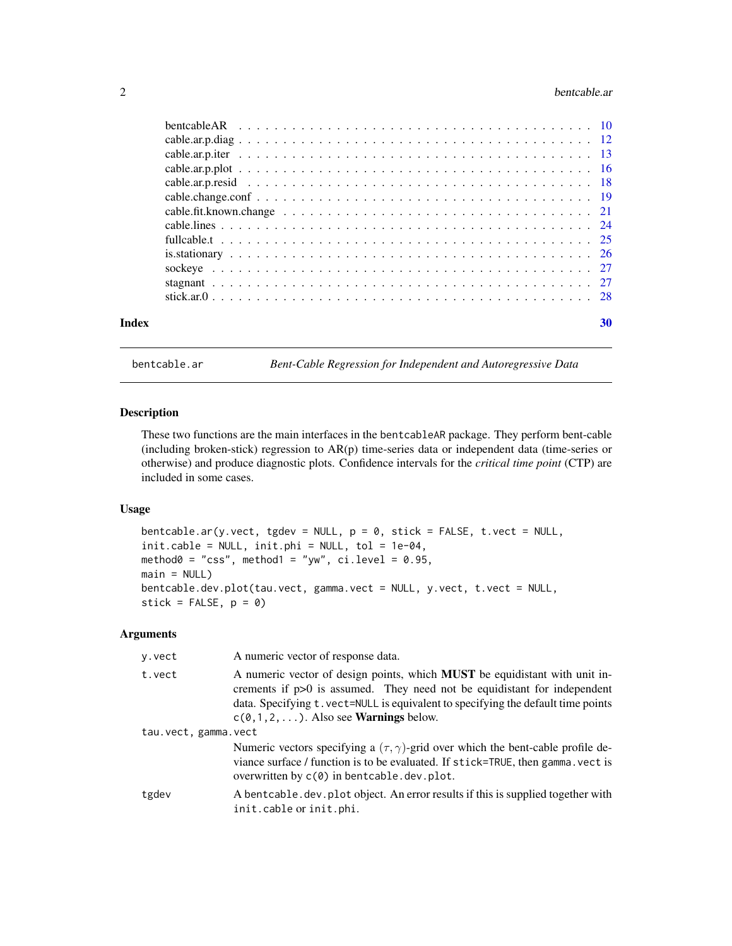# <span id="page-1-0"></span>2 bentcable.ar **bentcable.ar**

| Index | 30 |
|-------|----|
|       |    |

<span id="page-1-2"></span>bentcable.ar *Bent-Cable Regression for Independent and Autoregressive Data*

# <span id="page-1-1"></span>Description

These two functions are the main interfaces in the bentcableAR package. They perform bent-cable (including broken-stick) regression to AR(p) time-series data or independent data (time-series or otherwise) and produce diagnostic plots. Confidence intervals for the *critical time point* (CTP) are included in some cases.

# Usage

bentcable.ar(y.vect, tgdev = NULL, p = 0, stick = FALSE, t.vect = NULL, init.cable = NULL, init.phi = NULL, tol = 1e-04, method $0 = "css", method1 = "yw", ci.level = 0.95,$  $main = NULL$ bentcable.dev.plot(tau.vect, gamma.vect = NULL, y.vect, t.vect = NULL, stick =  $FALSE, p = 0)$ 

#### Arguments

| y.vect               | A numeric vector of response data.                                                                                                                                                                                                                                                                    |
|----------------------|-------------------------------------------------------------------------------------------------------------------------------------------------------------------------------------------------------------------------------------------------------------------------------------------------------|
| t.vect               | A numeric vector of design points, which <b>MUST</b> be equidistant with unit in-<br>crements if $p>0$ is assumed. They need not be equidistant for independent<br>data. Specifying t. vect=NULL is equivalent to specifying the default time points<br>$c(0,1,2,)$ . Also see <b>Warnings</b> below. |
| tau.vect, gamma.vect |                                                                                                                                                                                                                                                                                                       |
|                      | Numeric vectors specifying a $(\tau, \gamma)$ -grid over which the bent-cable profile de-<br>viance surface / function is to be evaluated. If stick=TRUE, then gamma. vect is<br>overwritten by $c(0)$ in bentcable. dev. plot.                                                                       |
| tgdev                | A bent cable . dev. plot object. An error results if this is supplied together with<br>init.cable or init.phi.                                                                                                                                                                                        |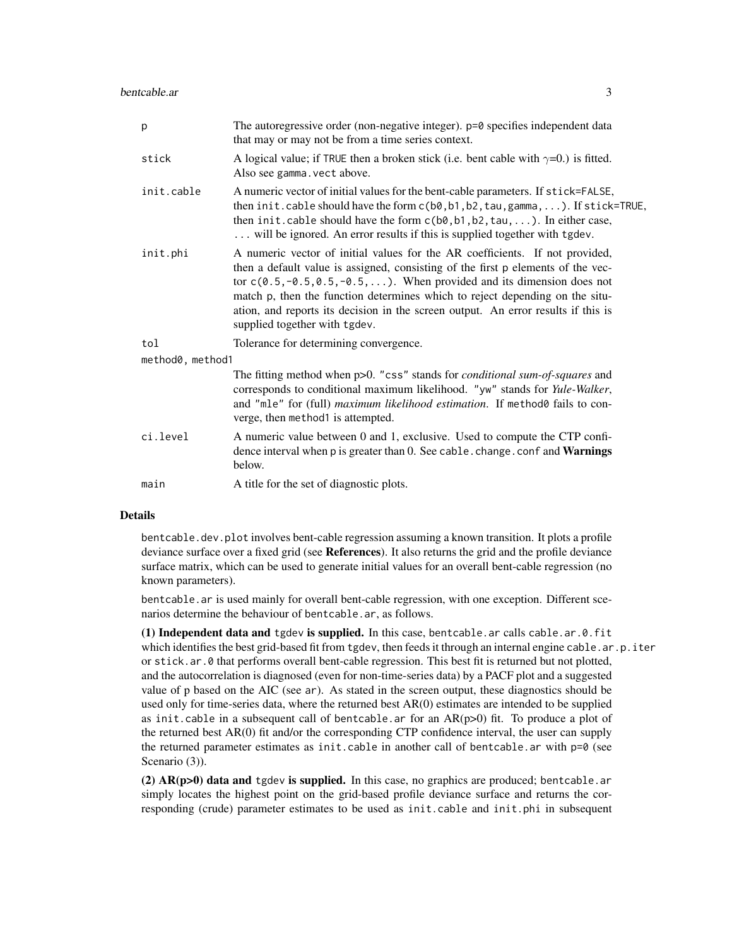| p                | The autoregressive order (non-negative integer). p=0 specifies independent data<br>that may or may not be from a time series context.                                                                                                                                                                                                                                                                                                                |  |
|------------------|------------------------------------------------------------------------------------------------------------------------------------------------------------------------------------------------------------------------------------------------------------------------------------------------------------------------------------------------------------------------------------------------------------------------------------------------------|--|
| stick            | A logical value; if TRUE then a broken stick (i.e. bent cable with $\gamma=0$ .) is fitted.<br>Also see gamma. vect above.                                                                                                                                                                                                                                                                                                                           |  |
| init.cable       | A numeric vector of initial values for the bent-cable parameters. If stick=FALSE,<br>then init.cable should have the form $c(b0, b1, b2, tau, gamma, )$ . If stick=TRUE,<br>then init.cable should have the form $c(b\emptyset, b1, b2, tau, )$ . In either case,<br>will be ignored. An error results if this is supplied together with tgdev.                                                                                                      |  |
| init.phi         | A numeric vector of initial values for the AR coefficients. If not provided,<br>then a default value is assigned, consisting of the first p elements of the vec-<br>tor $c(0.5, -0.5, 0.5, -0.5, )$ . When provided and its dimension does not<br>match p, then the function determines which to reject depending on the situ-<br>ation, and reports its decision in the screen output. An error results if this is<br>supplied together with tgdev. |  |
| tol              | Tolerance for determining convergence.                                                                                                                                                                                                                                                                                                                                                                                                               |  |
| method0, method1 |                                                                                                                                                                                                                                                                                                                                                                                                                                                      |  |
|                  | The fitting method when p>0. "css" stands for <i>conditional sum-of-squares</i> and<br>corresponds to conditional maximum likelihood. "yw" stands for Yule-Walker,<br>and "mle" for (full) maximum likelihood estimation. If method0 fails to con-<br>verge, then method1 is attempted.                                                                                                                                                              |  |
| ci.level         | A numeric value between 0 and 1, exclusive. Used to compute the CTP confi-<br>dence interval when p is greater than 0. See cable. change. conf and Warnings<br>below.                                                                                                                                                                                                                                                                                |  |
| main             | A title for the set of diagnostic plots.                                                                                                                                                                                                                                                                                                                                                                                                             |  |

# **Details**

bentcable.dev.plot involves bent-cable regression assuming a known transition. It plots a profile deviance surface over a fixed grid (see References). It also returns the grid and the profile deviance surface matrix, which can be used to generate initial values for an overall bent-cable regression (no known parameters).

bentcable.ar is used mainly for overall bent-cable regression, with one exception. Different scenarios determine the behaviour of bentcable.ar, as follows.

(1) Independent data and tgdev is supplied. In this case, bentcable.ar calls cable.ar. $0.$ fit which identifies the best grid-based fit from tgdev, then feeds it through an internal engine cable.ar.p.iter or stick.ar.0 that performs overall bent-cable regression. This best fit is returned but not plotted, and the autocorrelation is diagnosed (even for non-time-series data) by a PACF plot and a suggested value of p based on the AIC (see ar). As stated in the screen output, these diagnostics should be used only for time-series data, where the returned best AR(0) estimates are intended to be supplied as init.cable in a subsequent call of bentcable.ar for an  $AR(p>0)$  fit. To produce a plot of the returned best AR(0) fit and/or the corresponding CTP confidence interval, the user can supply the returned parameter estimates as init.cable in another call of bentcable.ar with  $p=0$  (see Scenario (3)).

 $(2)$  AR( $p>0$ ) data and tgdev is supplied. In this case, no graphics are produced; bentcable.ar simply locates the highest point on the grid-based profile deviance surface and returns the corresponding (crude) parameter estimates to be used as init.cable and init.phi in subsequent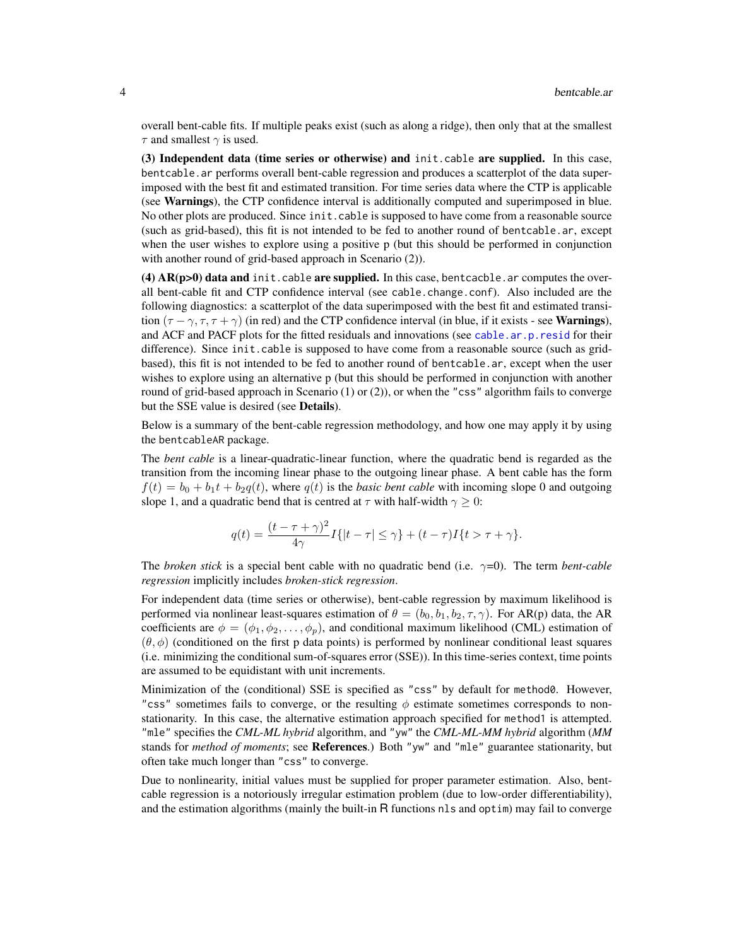<span id="page-3-0"></span>overall bent-cable fits. If multiple peaks exist (such as along a ridge), then only that at the smallest  $\tau$  and smallest  $\gamma$  is used.

(3) Independent data (time series or otherwise) and init.cable are supplied. In this case, bentcable.ar performs overall bent-cable regression and produces a scatterplot of the data superimposed with the best fit and estimated transition. For time series data where the CTP is applicable (see Warnings), the CTP confidence interval is additionally computed and superimposed in blue. No other plots are produced. Since init.cable is supposed to have come from a reasonable source (such as grid-based), this fit is not intended to be fed to another round of bentcable.ar, except when the user wishes to explore using a positive p (but this should be performed in conjunction with another round of grid-based approach in Scenario (2)).

(4)  $AR(p>0)$  data and init.cable are supplied. In this case, bentcacble. ar computes the overall bent-cable fit and CTP confidence interval (see cable.change.conf). Also included are the following diagnostics: a scatterplot of the data superimposed with the best fit and estimated transition  $(\tau - \gamma, \tau, \tau + \gamma)$  (in red) and the CTP confidence interval (in blue, if it exists - see **Warnings**), and ACF and PACF plots for the fitted residuals and innovations (see [cable.ar.p.resid](#page-17-1) for their difference). Since init.cable is supposed to have come from a reasonable source (such as gridbased), this fit is not intended to be fed to another round of bentcable.ar, except when the user wishes to explore using an alternative p (but this should be performed in conjunction with another round of grid-based approach in Scenario (1) or (2)), or when the "css" algorithm fails to converge but the SSE value is desired (see Details).

Below is a summary of the bent-cable regression methodology, and how one may apply it by using the bentcableAR package.

The *bent cable* is a linear-quadratic-linear function, where the quadratic bend is regarded as the transition from the incoming linear phase to the outgoing linear phase. A bent cable has the form  $f(t) = b_0 + b_1t + b_2q(t)$ , where  $q(t)$  is the *basic bent cable* with incoming slope 0 and outgoing slope 1, and a quadratic bend that is centred at  $\tau$  with half-width  $\gamma \geq 0$ :

$$
q(t) = \frac{(t-\tau+\gamma)^2}{4\gamma}I\{|t-\tau| \leq \gamma\} + (t-\tau)I\{t > \tau + \gamma\}.
$$

The *broken stick* is a special bent cable with no quadratic bend (i.e. γ=0). The term *bent-cable regression* implicitly includes *broken-stick regression*.

For independent data (time series or otherwise), bent-cable regression by maximum likelihood is performed via nonlinear least-squares estimation of  $\theta = (b_0, b_1, b_2, \tau, \gamma)$ . For AR(p) data, the AR coefficients are  $\phi = (\phi_1, \phi_2, \dots, \phi_p)$ , and conditional maximum likelihood (CML) estimation of  $(\theta, \phi)$  (conditioned on the first p data points) is performed by nonlinear conditional least squares (i.e. minimizing the conditional sum-of-squares error (SSE)). In this time-series context, time points are assumed to be equidistant with unit increments.

Minimization of the (conditional) SSE is specified as "css" by default for method0. However, "css" sometimes fails to converge, or the resulting  $\phi$  estimate sometimes corresponds to nonstationarity. In this case, the alternative estimation approach specified for method1 is attempted. "mle" specifies the *CML-ML hybrid* algorithm, and "yw" the *CML-ML-MM hybrid* algorithm (*MM* stands for *method of moments*; see References.) Both "yw" and "mle" guarantee stationarity, but often take much longer than "css" to converge.

Due to nonlinearity, initial values must be supplied for proper parameter estimation. Also, bentcable regression is a notoriously irregular estimation problem (due to low-order differentiability), and the estimation algorithms (mainly the built-in R functions nls and optim) may fail to converge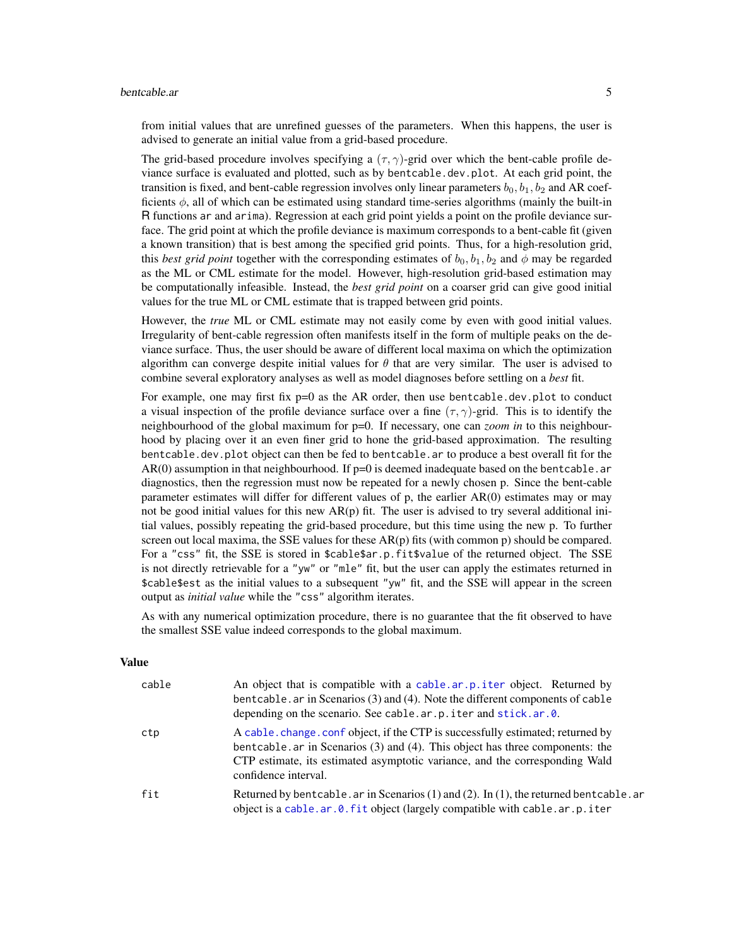#### <span id="page-4-0"></span>bentcable.ar 5

from initial values that are unrefined guesses of the parameters. When this happens, the user is advised to generate an initial value from a grid-based procedure.

The grid-based procedure involves specifying a  $(\tau, \gamma)$ -grid over which the bent-cable profile deviance surface is evaluated and plotted, such as by bentcable.dev.plot. At each grid point, the transition is fixed, and bent-cable regression involves only linear parameters  $b_0, b_1, b_2$  and AR coefficients  $\phi$ , all of which can be estimated using standard time-series algorithms (mainly the built-in R functions ar and arima). Regression at each grid point yields a point on the profile deviance surface. The grid point at which the profile deviance is maximum corresponds to a bent-cable fit (given a known transition) that is best among the specified grid points. Thus, for a high-resolution grid, this *best grid point* together with the corresponding estimates of  $b_0$ ,  $b_1$ ,  $b_2$  and  $\phi$  may be regarded as the ML or CML estimate for the model. However, high-resolution grid-based estimation may be computationally infeasible. Instead, the *best grid point* on a coarser grid can give good initial values for the true ML or CML estimate that is trapped between grid points.

However, the *true* ML or CML estimate may not easily come by even with good initial values. Irregularity of bent-cable regression often manifests itself in the form of multiple peaks on the deviance surface. Thus, the user should be aware of different local maxima on which the optimization algorithm can converge despite initial values for  $\theta$  that are very similar. The user is advised to combine several exploratory analyses as well as model diagnoses before settling on a *best* fit.

For example, one may first fix  $p=0$  as the AR order, then use bentcable.dev.plot to conduct a visual inspection of the profile deviance surface over a fine  $(\tau, \gamma)$ -grid. This is to identify the neighbourhood of the global maximum for p=0. If necessary, one can *zoom in* to this neighbourhood by placing over it an even finer grid to hone the grid-based approximation. The resulting bentcable.dev.plot object can then be fed to bentcable.ar to produce a best overall fit for the  $AR(0)$  assumption in that neighbourhood. If  $p=0$  is deemed inadequate based on the bentcable.ar diagnostics, then the regression must now be repeated for a newly chosen p. Since the bent-cable parameter estimates will differ for different values of p, the earlier AR(0) estimates may or may not be good initial values for this new  $AR(p)$  fit. The user is advised to try several additional initial values, possibly repeating the grid-based procedure, but this time using the new p. To further screen out local maxima, the SSE values for these  $AR(p)$  fits (with common p) should be compared. For a "css" fit, the SSE is stored in \$cable\$ar.p.fit\$value of the returned object. The SSE is not directly retrievable for a "yw" or "mle" fit, but the user can apply the estimates returned in \$cable\$est as the initial values to a subsequent "yw" fit, and the SSE will appear in the screen output as *initial value* while the "css" algorithm iterates.

As with any numerical optimization procedure, there is no guarantee that the fit observed to have the smallest SSE value indeed corresponds to the global maximum.

#### Value

| cable | An object that is compatible with a cable.ar.p.iter object. Returned by<br>bentcable. ar in Scenarios (3) and (4). Note the different components of cable<br>depending on the scenario. See cable.ar.p.iter and stick.ar.0.                                           |
|-------|-----------------------------------------------------------------------------------------------------------------------------------------------------------------------------------------------------------------------------------------------------------------------|
| ctp   | A cable change conf object, if the CTP is successfully estimated; returned by<br>bentcable. ar in Scenarios (3) and (4). This object has three components: the<br>CTP estimate, its estimated asymptotic variance, and the corresponding Wald<br>confidence interval. |
| fit   | Returned by bentcable. ar in Scenarios $(1)$ and $(2)$ . In $(1)$ , the returned bentcable. ar<br>object is a cable.ar.0.fit object (largely compatible with cable.ar.p.iter                                                                                          |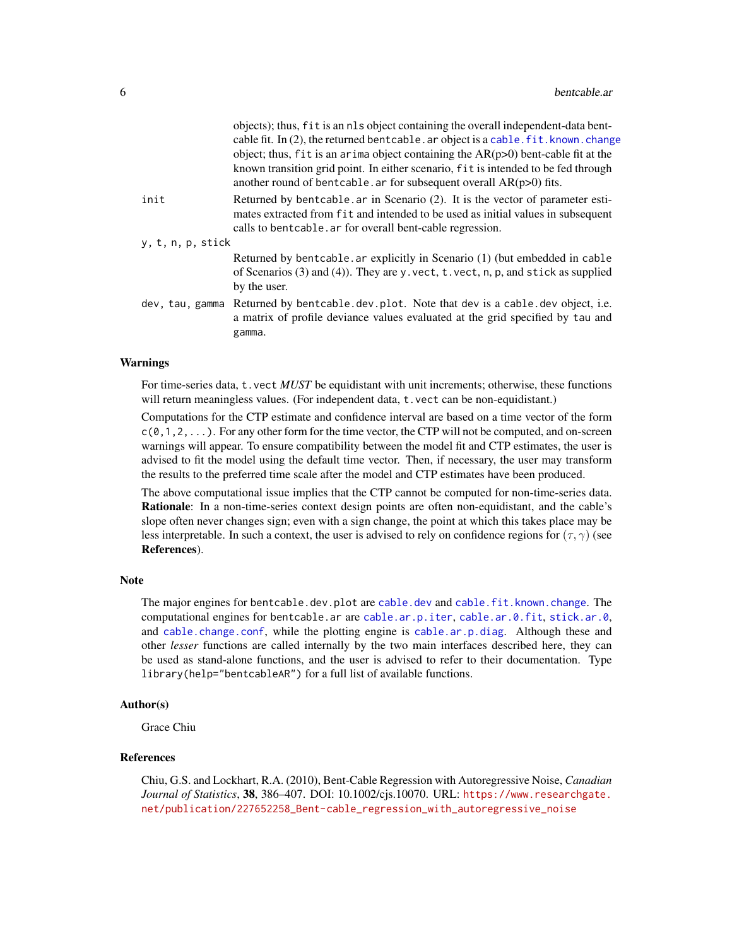<span id="page-5-0"></span>

|                   | objects); thus, fit is an nls object containing the overall independent-data bent-<br>cable fit. In (2), the returned bentcable. ar object is a cable. fit. known. change<br>object; thus, fit is an arima object containing the $AR(p>0)$ bent-cable fit at the<br>known transition grid point. In either scenario, fit is intended to be fed through<br>another round of bentcable. ar for subsequent overall $AR(p>0)$ fits. |
|-------------------|---------------------------------------------------------------------------------------------------------------------------------------------------------------------------------------------------------------------------------------------------------------------------------------------------------------------------------------------------------------------------------------------------------------------------------|
| init              | Returned by bentcable. ar in Scenario (2). It is the vector of parameter esti-<br>mates extracted from fit and intended to be used as initial values in subsequent<br>calls to bent cable. ar for overall bent-cable regression.                                                                                                                                                                                                |
| y, t, n, p, stick |                                                                                                                                                                                                                                                                                                                                                                                                                                 |
|                   | Returned by bentcable. ar explicitly in Scenario (1) (but embedded in cable<br>of Scenarios $(3)$ and $(4)$ ). They are y vect, t vect, n, p, and stick as supplied<br>by the user.                                                                                                                                                                                                                                             |
|                   | dev, tau, gamma Returned by bentcable.dev.plot. Note that dev is a cable.dev object, i.e.<br>a matrix of profile deviance values evaluated at the grid specified by tau and<br>gamma.                                                                                                                                                                                                                                           |
|                   |                                                                                                                                                                                                                                                                                                                                                                                                                                 |

#### Warnings

For time-series data, t.vect *MUST* be equidistant with unit increments; otherwise, these functions will return meaningless values. (For independent data, t. vect can be non-equidistant.)

Computations for the CTP estimate and confidence interval are based on a time vector of the form  $c(0,1,2,\ldots)$ . For any other form for the time vector, the CTP will not be computed, and on-screen warnings will appear. To ensure compatibility between the model fit and CTP estimates, the user is advised to fit the model using the default time vector. Then, if necessary, the user may transform the results to the preferred time scale after the model and CTP estimates have been produced.

The above computational issue implies that the CTP cannot be computed for non-time-series data. Rationale: In a non-time-series context design points are often non-equidistant, and the cable's slope often never changes sign; even with a sign change, the point at which this takes place may be less interpretable. In such a context, the user is advised to rely on confidence regions for  $(\tau, \gamma)$  (see References).

#### Note

The major engines for bent[cable.dev](#page-20-1).plot are cable.dev and [cable.fit.known.change](#page-20-2). The computational engines for bentcable.ar are [cable.ar.p.iter](#page-12-1), [cable.ar.0.fit](#page-20-1), [stick.ar.0](#page-27-1), and [cable.change.conf](#page-18-1), while the plotting engine is [cable.ar.p.diag](#page-11-1). Although these and other *lesser* functions are called internally by the two main interfaces described here, they can be used as stand-alone functions, and the user is advised to refer to their documentation. Type library(help="bentcableAR") for a full list of available functions.

#### Author(s)

Grace Chiu

#### References

Chiu, G.S. and Lockhart, R.A. (2010), Bent-Cable Regression with Autoregressive Noise, *Canadian Journal of Statistics*, 38, 386–407. DOI: 10.1002/cjs.10070. URL: [https://www.researchgate.](https://www.researchgate.net/publication/227652258_Bent-cable_regression_with_autoregressive_noise) [net/publication/227652258\\_Bent-cable\\_regression\\_with\\_autoregressive\\_noise](https://www.researchgate.net/publication/227652258_Bent-cable_regression_with_autoregressive_noise)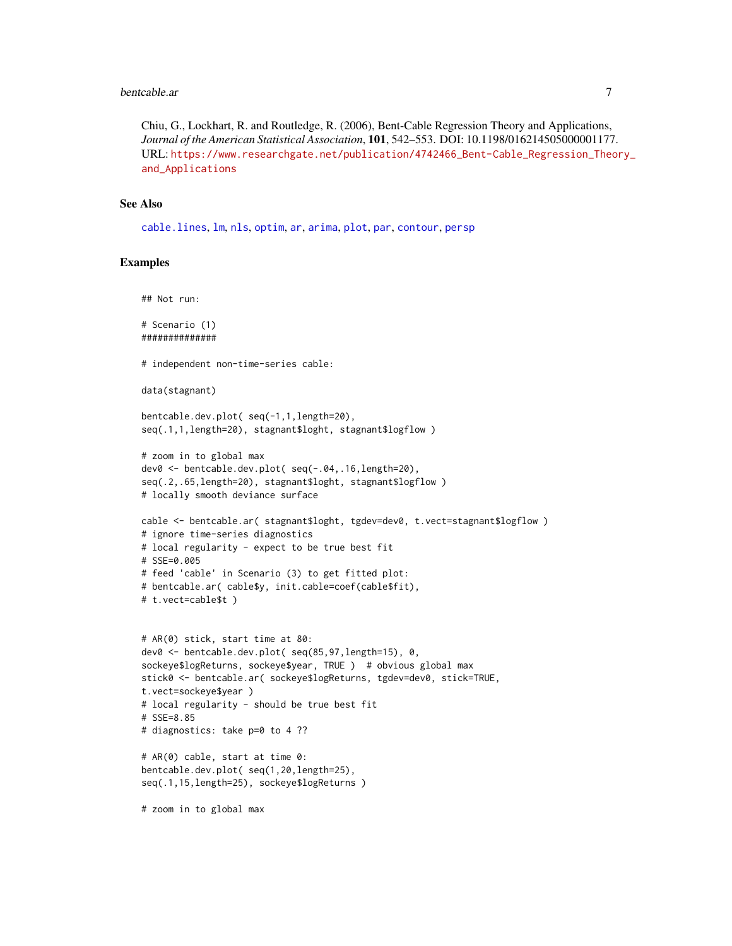#### <span id="page-6-0"></span>bentcable.ar 7

Chiu, G., Lockhart, R. and Routledge, R. (2006), Bent-Cable Regression Theory and Applications, *Journal of the American Statistical Association*, 101, 542–553. DOI: 10.1198/016214505000001177. URL: [https://www.researchgate.net/publication/4742466\\_Bent-Cable\\_Regression\\_Theo](https://www.researchgate.net/publication/4742466_Bent-Cable_Regression_Theory_and_Applications)ry\_ [and\\_Applications](https://www.researchgate.net/publication/4742466_Bent-Cable_Regression_Theory_and_Applications)

#### See Also

[cable.lines](#page-23-1), [lm](#page-0-0), [nls](#page-0-0), [optim](#page-0-0), [ar](#page-0-0), [arima](#page-0-0), [plot](#page-0-0), [par](#page-0-0), [contour](#page-0-0), [persp](#page-0-0)

#### Examples

```
## Not run:
```
# Scenario (1) ##############

# independent non-time-series cable:

```
data(stagnant)
```

```
bentcable.dev.plot( seq(-1,1,length=20),
seq(.1,1,length=20), stagnant$loght, stagnant$logflow )
```

```
# zoom in to global max
dev0 <- bentcable.dev.plot( seq(-.04,.16,length=20),
seq(.2,.65,length=20), stagnant$loght, stagnant$logflow )
# locally smooth deviance surface
```

```
cable <- bentcable.ar( stagnant$loght, tgdev=dev0, t.vect=stagnant$logflow )
# ignore time-series diagnostics
# local regularity - expect to be true best fit
# SSE=0.005
# feed 'cable' in Scenario (3) to get fitted plot:
# bentcable.ar( cable$y, init.cable=coef(cable$fit),
```

```
# t.vect=cable$t )
```

```
# AR(0) stick, start time at 80:
dev0 <- bentcable.dev.plot( seq(85,97,length=15), 0,
sockeye$logReturns, sockeye$year, TRUE ) # obvious global max
stick0 <- bentcable.ar( sockeye$logReturns, tgdev=dev0, stick=TRUE,
t.vect=sockeye$year )
# local regularity - should be true best fit
# SSE=8.85
# diagnostics: take p=0 to 4 ??
```

```
# AR(0) cable, start at time 0:
bentcable.dev.plot( seq(1,20,length=25),
seq(.1,15,length=25), sockeye$logReturns )
```
# zoom in to global max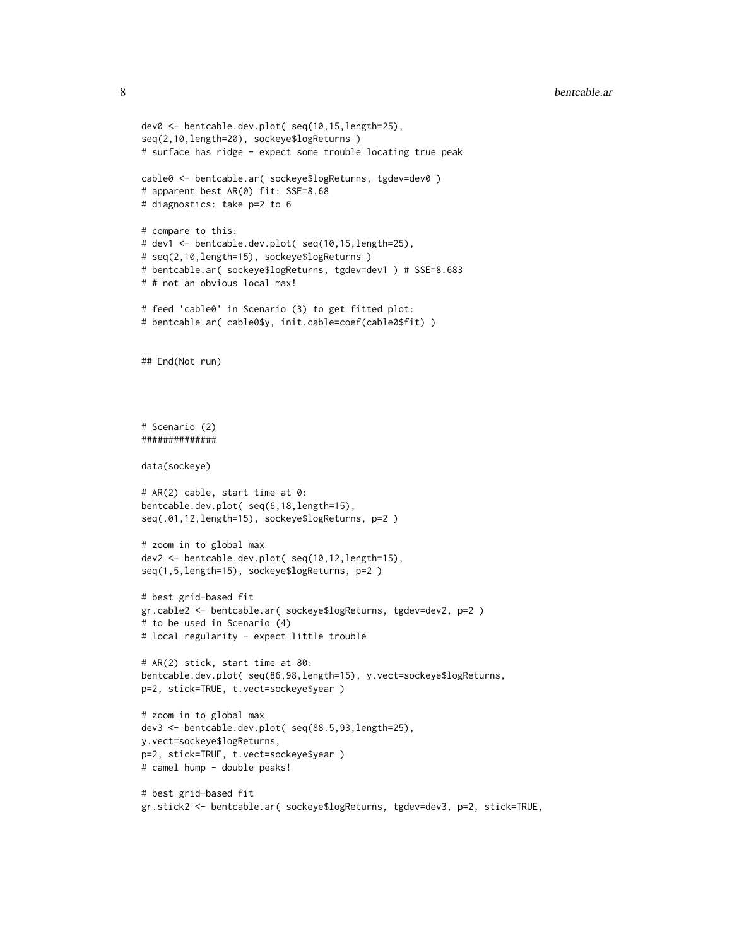```
dev0 <- bentcable.dev.plot( seq(10,15,length=25),
seq(2,10,length=20), sockeye$logReturns )
# surface has ridge - expect some trouble locating true peak
cable0 <- bentcable.ar( sockeye$logReturns, tgdev=dev0 )
# apparent best AR(0) fit: SSE=8.68
# diagnostics: take p=2 to 6
# compare to this:
# dev1 <- bentcable.dev.plot( seq(10,15,length=25),
# seq(2,10,length=15), sockeye$logReturns )
# bentcable.ar( sockeye$logReturns, tgdev=dev1 ) # SSE=8.683
# # not an obvious local max!
# feed 'cable0' in Scenario (3) to get fitted plot:
# bentcable.ar( cable0$y, init.cable=coef(cable0$fit) )
## End(Not run)
# Scenario (2)
##############
data(sockeye)
# AR(2) cable, start time at 0:
bentcable.dev.plot( seq(6,18,length=15),
seq(.01,12,length=15), sockeye$logReturns, p=2 )
# zoom in to global max
dev2 <- bentcable.dev.plot( seq(10,12,length=15),
seq(1,5,length=15), sockeye$logReturns, p=2 )
# best grid-based fit
gr.cable2 <- bentcable.ar( sockeye$logReturns, tgdev=dev2, p=2 )
# to be used in Scenario (4)
# local regularity - expect little trouble
# AR(2) stick, start time at 80:
bentcable.dev.plot( seq(86,98,length=15), y.vect=sockeye$logReturns,
p=2, stick=TRUE, t.vect=sockeye$year )
# zoom in to global max
dev3 <- bentcable.dev.plot( seq(88.5,93,length=25),
y.vect=sockeye$logReturns,
p=2, stick=TRUE, t.vect=sockeye$year )
# camel hump - double peaks!
# best grid-based fit
gr.stick2 <- bentcable.ar( sockeye$logReturns, tgdev=dev3, p=2, stick=TRUE,
```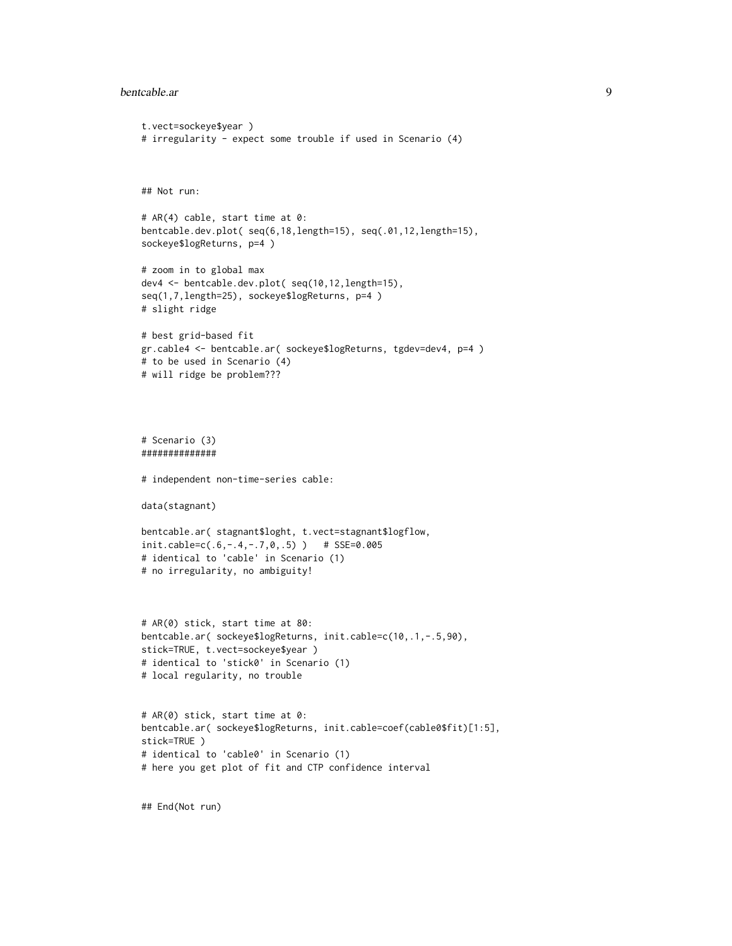#### bentcable.ar 9

```
t.vect=sockeye$year )
# irregularity - expect some trouble if used in Scenario (4)
## Not run:
# AR(4) cable, start time at 0:
bentcable.dev.plot( seq(6,18,length=15), seq(.01,12,length=15),
sockeye$logReturns, p=4 )
# zoom in to global max
dev4 <- bentcable.dev.plot( seq(10,12,length=15),
seq(1,7,length=25), sockeye$logReturns, p=4 )
# slight ridge
# best grid-based fit
gr.cable4 <- bentcable.ar( sockeye$logReturns, tgdev=dev4, p=4 )
# to be used in Scenario (4)
# will ridge be problem???
# Scenario (3)
##############
# independent non-time-series cable:
data(stagnant)
bentcable.ar( stagnant$loght, t.vect=stagnant$logflow,
init.cable=c(.6,-.4,-.7,0,.5) ) # SSE=0.005
# identical to 'cable' in Scenario (1)
# no irregularity, no ambiguity!
# AR(0) stick, start time at 80:
bentcable.ar( sockeye$logReturns, init.cable=c(10,.1,-.5,90),
stick=TRUE, t.vect=sockeye$year )
# identical to 'stick0' in Scenario (1)
# local regularity, no trouble
# AR(0) stick, start time at 0:
bentcable.ar( sockeye$logReturns, init.cable=coef(cable0$fit)[1:5],
stick=TRUE )
# identical to 'cable0' in Scenario (1)
# here you get plot of fit and CTP confidence interval
```
## End(Not run)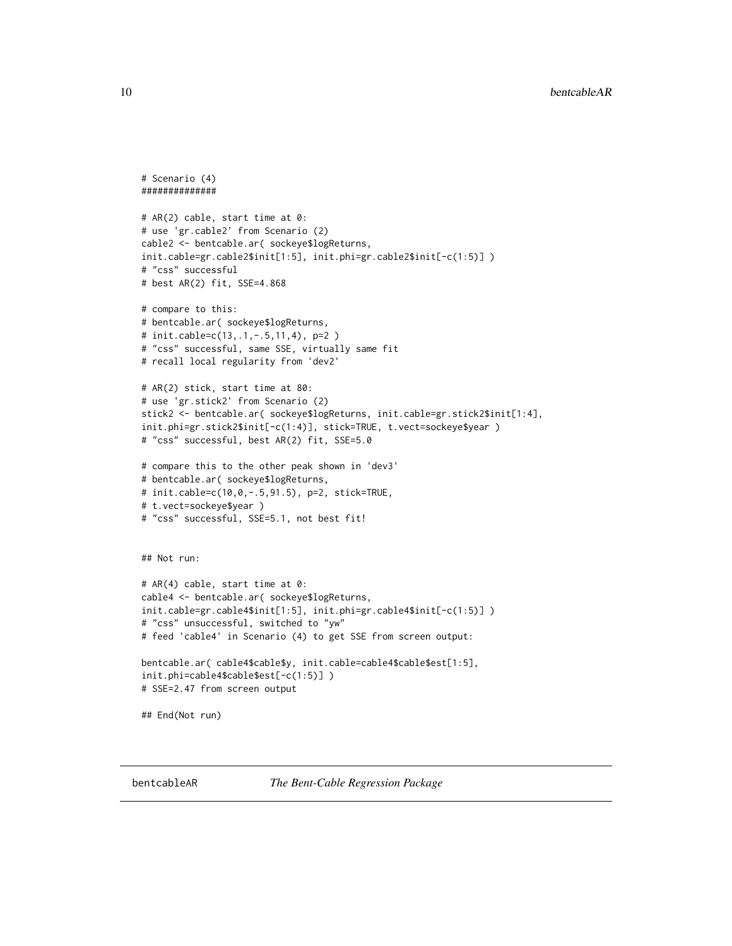```
# Scenario (4)
##############
# AR(2) cable, start time at 0:
# use 'gr.cable2' from Scenario (2)
cable2 <- bentcable.ar( sockeye$logReturns,
init.cable=gr.cable2$init[1:5], init.phi=gr.cable2$init[-c(1:5)] )
# "css" successful
# best AR(2) fit, SSE=4.868
# compare to this:
# bentcable.ar( sockeye$logReturns,
# init.cable=c(13,.1,-.5,11,4), p=2 )
# "css" successful, same SSE, virtually same fit
# recall local regularity from 'dev2'
# AR(2) stick, start time at 80:
# use 'gr.stick2' from Scenario (2)
stick2 <- bentcable.ar( sockeye$logReturns, init.cable=gr.stick2$init[1:4],
init.phi=gr.stick2$init[-c(1:4)], stick=TRUE, t.vect=sockeye$year )
# "css" successful, best AR(2) fit, SSE=5.0
# compare this to the other peak shown in 'dev3'
# bentcable.ar( sockeye$logReturns,
# init.cable=c(10,0,-.5,91.5), p=2, stick=TRUE,
# t.vect=sockeye$year )
# "css" successful, SSE=5.1, not best fit!
## Not run:
# AR(4) cable, start time at 0:
cable4 <- bentcable.ar( sockeye$logReturns,
init.cable=gr.cable4$init[1:5], init.phi=gr.cable4$init[-c(1:5)] )
# "css" unsuccessful, switched to "yw"
# feed 'cable4' in Scenario (4) to get SSE from screen output:
bentcable.ar( cable4$cable$y, init.cable=cable4$cable$est[1:5],
init.phi=cable4$cable$est[-c(1:5)] )
# SSE=2.47 from screen output
## End(Not run)
```
<span id="page-9-1"></span>

<span id="page-9-0"></span>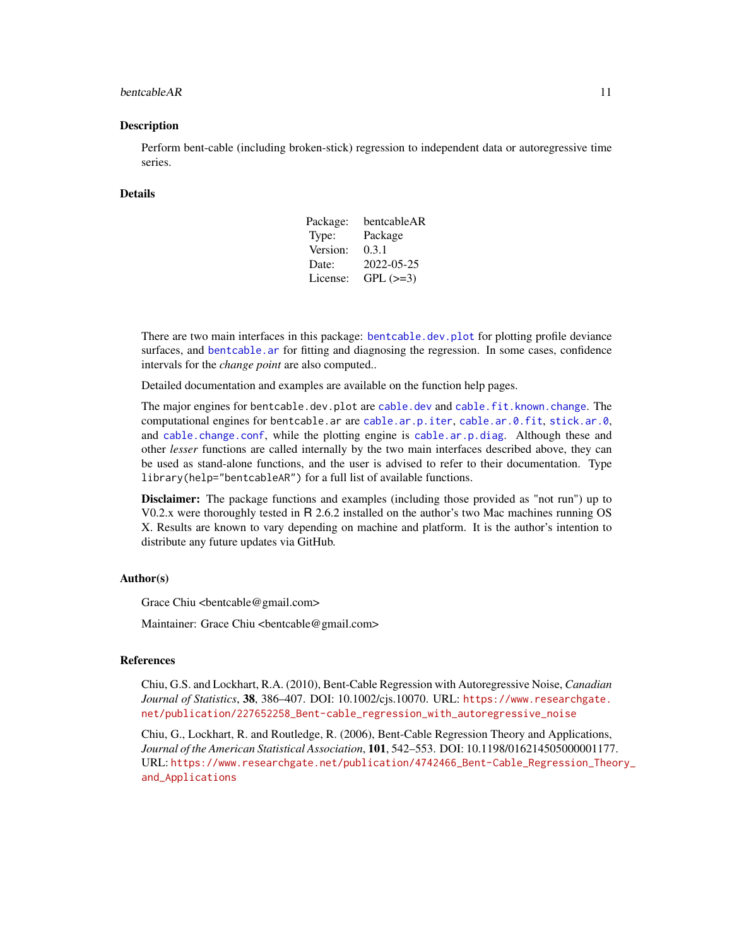#### <span id="page-10-0"></span>bentcableAR 11

#### **Description**

Perform bent-cable (including broken-stick) regression to independent data or autoregressive time series.

#### Details

| Package: | bentcableAR |
|----------|-------------|
| Type:    | Package     |
| Version: | 0.3.1       |
| Date:    | 2022-05-25  |
| License: | $GPL (=3)$  |

There are two main interfaces in this package: [bentcable.dev.plot](#page-1-1) for plotting profile deviance surfaces, and [bentcable.ar](#page-1-2) for fitting and diagnosing the regression. In some cases, confidence intervals for the *change point* are also computed..

Detailed documentation and examples are available on the function help pages.

The major engines for bent[cable.dev](#page-20-1).plot are cable.dev and [cable.fit.known.change](#page-20-2). The computational engines for bentcable.ar are [cable.ar.p.iter](#page-12-1), [cable.ar.0.fit](#page-20-1), [stick.ar.0](#page-27-1), and [cable.change.conf](#page-18-1), while the plotting engine is [cable.ar.p.diag](#page-11-1). Although these and other *lesser* functions are called internally by the two main interfaces described above, they can be used as stand-alone functions, and the user is advised to refer to their documentation. Type library(help="bentcableAR") for a full list of available functions.

Disclaimer: The package functions and examples (including those provided as "not run") up to V0.2.x were thoroughly tested in R 2.6.2 installed on the author's two Mac machines running OS X. Results are known to vary depending on machine and platform. It is the author's intention to distribute any future updates via GitHub.

#### Author(s)

Grace Chiu <br/>bentcable@gmail.com>

Maintainer: Grace Chiu <br/>bentcable@gmail.com>

#### References

Chiu, G.S. and Lockhart, R.A. (2010), Bent-Cable Regression with Autoregressive Noise, *Canadian Journal of Statistics*, 38, 386–407. DOI: 10.1002/cjs.10070. URL: [https://www.researchgate.](https://www.researchgate.net/publication/227652258_Bent-cable_regression_with_autoregressive_noise) [net/publication/227652258\\_Bent-cable\\_regression\\_with\\_autoregressive\\_noise](https://www.researchgate.net/publication/227652258_Bent-cable_regression_with_autoregressive_noise)

Chiu, G., Lockhart, R. and Routledge, R. (2006), Bent-Cable Regression Theory and Applications, *Journal of the American Statistical Association*, 101, 542–553. DOI: 10.1198/016214505000001177. URL: [https://www.researchgate.net/publication/4742466\\_Bent-Cable\\_Regression\\_Theo](https://www.researchgate.net/publication/4742466_Bent-Cable_Regression_Theory_and_Applications)ry\_ [and\\_Applications](https://www.researchgate.net/publication/4742466_Bent-Cable_Regression_Theory_and_Applications)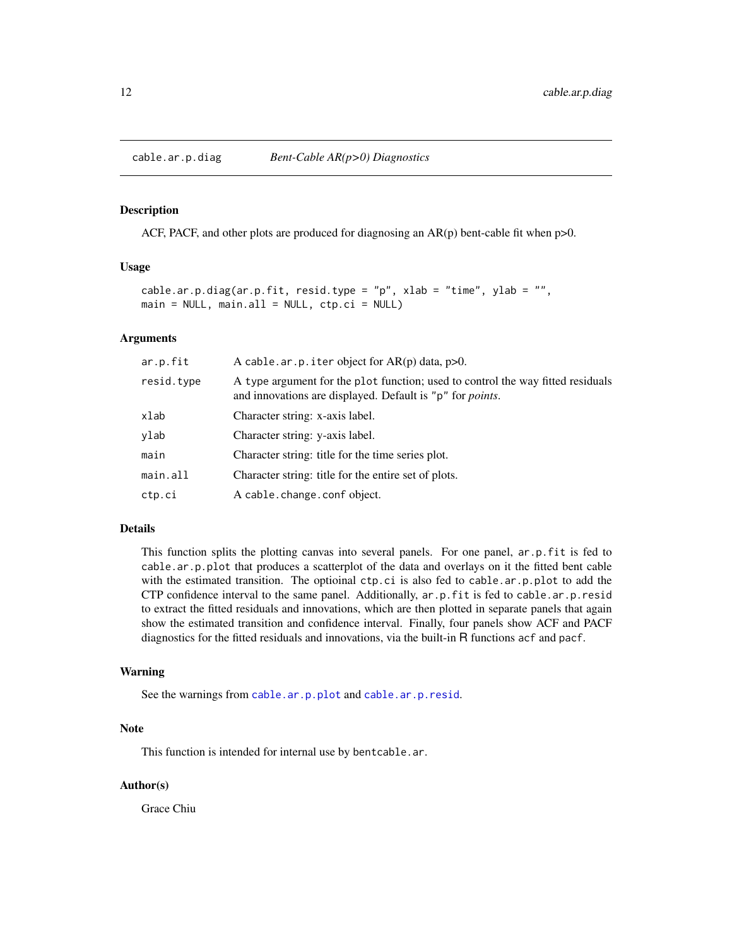<span id="page-11-1"></span><span id="page-11-0"></span>

#### Description

ACF, PACF, and other plots are produced for diagnosing an  $AR(p)$  bent-cable fit when p>0.

#### Usage

```
cable.ar.p.diag(ar.p.fit, resid.type = "p", xlab = "time", ylab = "",
main = NULL, main.all = NULL, ctp.ci = NULL)
```
#### Arguments

| ar.p.fit   | A cable.ar.p.iter object for $AR(p)$ data, $p>0$ .                                                                                                   |
|------------|------------------------------------------------------------------------------------------------------------------------------------------------------|
| resid.type | A type argument for the plot function; used to control the way fitted residuals<br>and innovations are displayed. Default is "p" for <i>points</i> . |
| xlab       | Character string: x-axis label.                                                                                                                      |
| ylab       | Character string: y-axis label.                                                                                                                      |
| main       | Character string: title for the time series plot.                                                                                                    |
| main.all   | Character string: title for the entire set of plots.                                                                                                 |
| ctp.ci     | A cable. change. conf object.                                                                                                                        |

#### Details

This function splits the plotting canvas into several panels. For one panel, ar.p.fit is fed to cable.ar.p.plot that produces a scatterplot of the data and overlays on it the fitted bent cable with the estimated transition. The optioinal ctp.ci is also fed to cable.ar.p.plot to add the CTP confidence interval to the same panel. Additionally, ar.p.fit is fed to cable.ar.p.resid to extract the fitted residuals and innovations, which are then plotted in separate panels that again show the estimated transition and confidence interval. Finally, four panels show ACF and PACF diagnostics for the fitted residuals and innovations, via the built-in R functions acf and pacf.

#### Warning

See the warnings from [cable.ar.p.plot](#page-15-1) and [cable.ar.p.resid](#page-17-1).

### Note

This function is intended for internal use by bentcable.ar.

#### Author(s)

Grace Chiu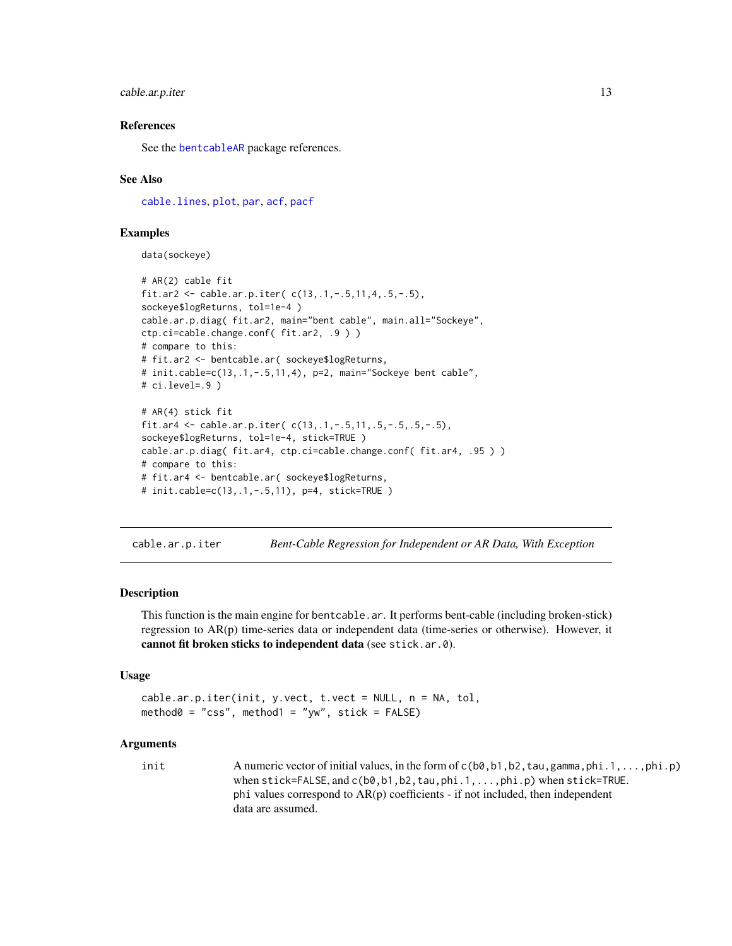### <span id="page-12-0"></span>cable.ar.p.iter 13

#### References

See the [bentcableAR](#page-9-1) package references.

#### See Also

[cable.lines](#page-23-1), [plot](#page-0-0), [par](#page-0-0), [acf](#page-0-0), [pacf](#page-0-0)

# Examples

data(sockeye)

```
# AR(2) cable fit
fit.ar2 <- cable.ar.p.iter( c(13,.1,-.5,11,4,.5,-.5),
sockeye$logReturns, tol=1e-4 )
cable.ar.p.diag( fit.ar2, main="bent cable", main.all="Sockeye",
ctp.ci=cable.change.conf( fit.ar2, .9 ) )
# compare to this:
# fit.ar2 <- bentcable.ar( sockeye$logReturns,
# init.cable=c(13,.1,-.5,11,4), p=2, main="Sockeye bent cable",
# ci.level=.9 )
# AR(4) stick fit
fit.ar4 <- cable.ar.p.iter( c(13,.1,-.5,11,.5,-.5,.5,-.5),
sockeye$logReturns, tol=1e-4, stick=TRUE )
cable.ar.p.diag( fit.ar4, ctp.ci=cable.change.conf( fit.ar4, .95 ) )
# compare to this:
# fit.ar4 <- bentcable.ar( sockeye$logReturns,
# init.cable=c(13,.1,-.5,11), p=4, stick=TRUE )
```
<span id="page-12-1"></span>cable.ar.p.iter *Bent-Cable Regression for Independent or AR Data, With Exception*

#### **Description**

This function is the main engine for bentcable.ar. It performs bent-cable (including broken-stick) regression to AR(p) time-series data or independent data (time-series or otherwise). However, it cannot fit broken sticks to independent data (see stick.ar.0).

#### Usage

```
cable.ar.p.iter(init, y.vect, t.vect = NULL, n = NA, tol,
method0 = "css", method1 = "yw", stick = FALSE)
```
#### Arguments

init A numeric vector of initial values, in the form of  $c(b\emptyset, b1, b2, tau, gamma, phi.1,...,phi. p)$ when stick=FALSE, and c(b0, b1, b2, tau, phi.1, ..., phi.p) when stick=TRUE. phi values correspond to  $AR(p)$  coefficients - if not included, then independent data are assumed.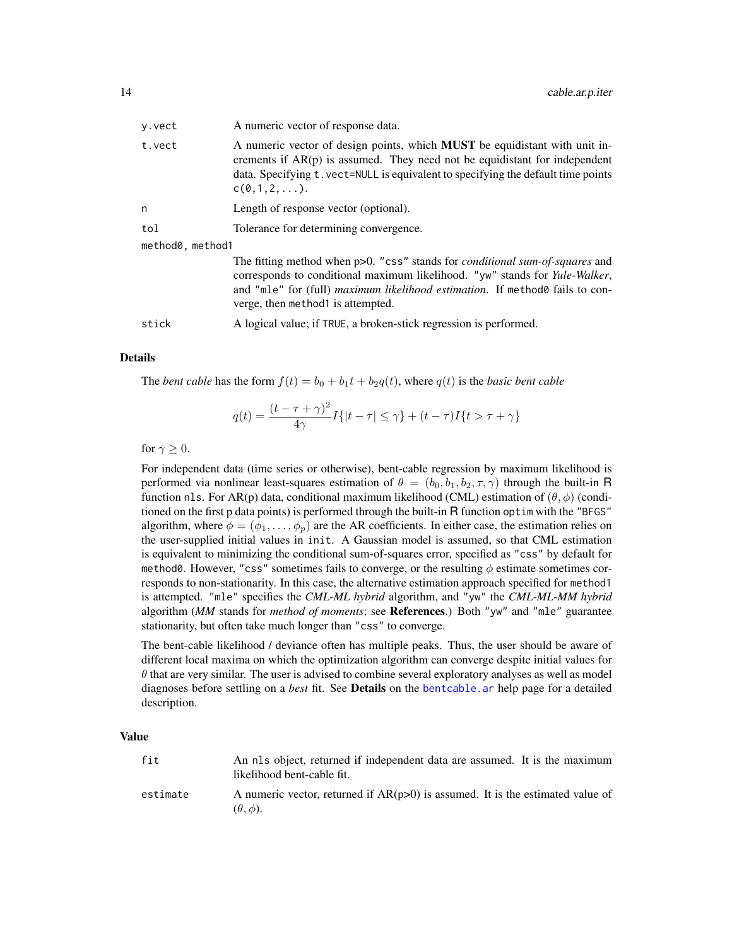<span id="page-13-0"></span>

| y.vect           | A numeric vector of response data.                                                                                                                                                                                                                                                                 |
|------------------|----------------------------------------------------------------------------------------------------------------------------------------------------------------------------------------------------------------------------------------------------------------------------------------------------|
| t.vect           | A numeric vector of design points, which <b>MUST</b> be equidistant with unit in-<br>crements if $AR(p)$ is assumed. They need not be equidistant for independent<br>data. Specifying t. vect=NULL is equivalent to specifying the default time points<br>C(0,1,2,).                               |
| n                | Length of response vector (optional).                                                                                                                                                                                                                                                              |
| tol              | Tolerance for determining convergence.                                                                                                                                                                                                                                                             |
| method0, method1 |                                                                                                                                                                                                                                                                                                    |
|                  | The fitting method when $p>0$ . "css" stands for <i>conditional sum-of-squares</i> and<br>corresponds to conditional maximum likelihood. "yw" stands for Yule-Walker,<br>and "mle" for (full) <i>maximum likelihood estimation</i> . If method fails to con-<br>verge, then method 1 is attempted. |
| stick            | A logical value; if TRUE, a broken-stick regression is performed.                                                                                                                                                                                                                                  |

#### Details

The *bent cable* has the form  $f(t) = b_0 + b_1t + b_2q(t)$ , where  $q(t)$  is the *basic bent cable* 

$$
q(t) = \frac{(t - \tau + \gamma)^2}{4\gamma} I\{|t - \tau| \le \gamma\} + (t - \tau)I\{t > \tau + \gamma\}
$$

for  $\gamma > 0$ .

For independent data (time series or otherwise), bent-cable regression by maximum likelihood is performed via nonlinear least-squares estimation of  $\theta = (b_0, b_1, b_2, \tau, \gamma)$  through the built-in R function nls. For AR(p) data, conditional maximum likelihood (CML) estimation of  $(\theta, \phi)$  (conditioned on the first p data points) is performed through the built-in R function optim with the "BFGS" algorithm, where  $\phi = (\phi_1, \dots, \phi_p)$  are the AR coefficients. In either case, the estimation relies on the user-supplied initial values in init. A Gaussian model is assumed, so that CML estimation is equivalent to minimizing the conditional sum-of-squares error, specified as "css" by default for method0. However, "css" sometimes fails to converge, or the resulting  $\phi$  estimate sometimes corresponds to non-stationarity. In this case, the alternative estimation approach specified for method1 is attempted. "mle" specifies the *CML-ML hybrid* algorithm, and "yw" the *CML-ML-MM hybrid* algorithm (*MM* stands for *method of moments*; see References.) Both "yw" and "mle" guarantee stationarity, but often take much longer than "css" to converge.

The bent-cable likelihood / deviance often has multiple peaks. Thus, the user should be aware of different local maxima on which the optimization algorithm can converge despite initial values for  $\theta$  that are very similar. The user is advised to combine several exploratory analyses as well as model diagnoses before settling on a *best* fit. See Details on the [bentcable.ar](#page-1-2) help page for a detailed description.

#### Value

| fit      | An nls object, returned if independent data are assumed. It is the maximum<br>likelihood bent-cable fit. |  |
|----------|----------------------------------------------------------------------------------------------------------|--|
| estimate | A numeric vector, returned if $AR(p>0)$ is assumed. It is the estimated value of                         |  |

 $(\theta, \phi)$ .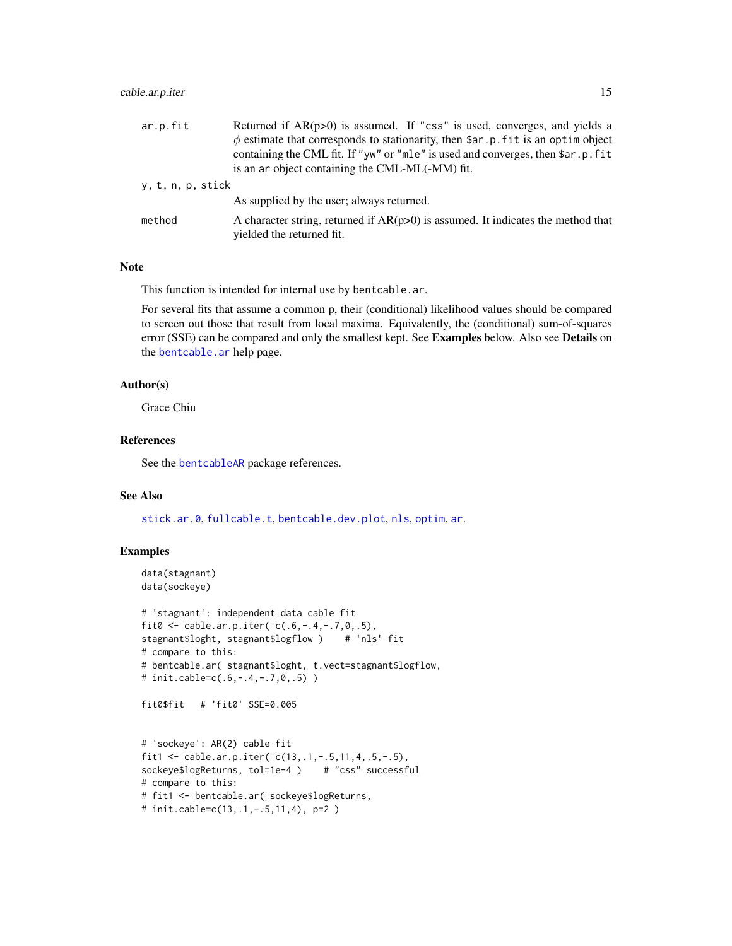# <span id="page-14-0"></span>cable.ar.p.iter 15

| ar.p.fit          | Returned if $AR(p>0)$ is assumed. If "css" is used, converges, and yields a                                     |
|-------------------|-----------------------------------------------------------------------------------------------------------------|
|                   | $\phi$ estimate that corresponds to stationarity, then \$ar.p. fit is an optim object                           |
|                   | containing the CML fit. If "yw" or "mle" is used and converges, then \$ar.p.fit                                 |
|                   | is an ar object containing the CML-ML(-MM) fit.                                                                 |
| y, t, n, p, stick |                                                                                                                 |
|                   | As supplied by the user; always returned.                                                                       |
| method            | A character string, returned if $AR(p>0)$ is assumed. It indicates the method that<br>yielded the returned fit. |

#### Note

This function is intended for internal use by bentcable.ar.

For several fits that assume a common p, their (conditional) likelihood values should be compared to screen out those that result from local maxima. Equivalently, the (conditional) sum-of-squares error (SSE) can be compared and only the smallest kept. See Examples below. Also see Details on the [bentcable.ar](#page-1-2) help page.

#### Author(s)

Grace Chiu

# References

See the [bentcableAR](#page-9-1) package references.

#### See Also

[stick.ar.0](#page-27-1), [fullcable.t](#page-24-1), [bentcable.dev.plot](#page-1-1), [nls](#page-0-0), [optim](#page-0-0), [ar](#page-0-0).

#### Examples

```
data(stagnant)
data(sockeye)
```

```
# 'stagnant': independent data cable fit
fit0 <- cable.ar.p.iter(c(.6,-.4,-.7,0,.5),
stagnant$loght, stagnant$logflow ) # 'nls' fit
# compare to this:
# bentcable.ar( stagnant$loght, t.vect=stagnant$logflow,
# init.cable=c(.6,-.4,-.7,0,.5) )
fit0$fit # 'fit0' SSE=0.005
```

```
# 'sockeye': AR(2) cable fit
fit1 <- cable.ar.p.iter( c(13,.1,-.5,11,4,.5,-.5),
sockeye$logReturns, tol=1e-4 ) # "css" successful
# compare to this:
# fit1 <- bentcable.ar( sockeye$logReturns,
# init.cable=c(13,.1,-.5,11,4), p=2 )
```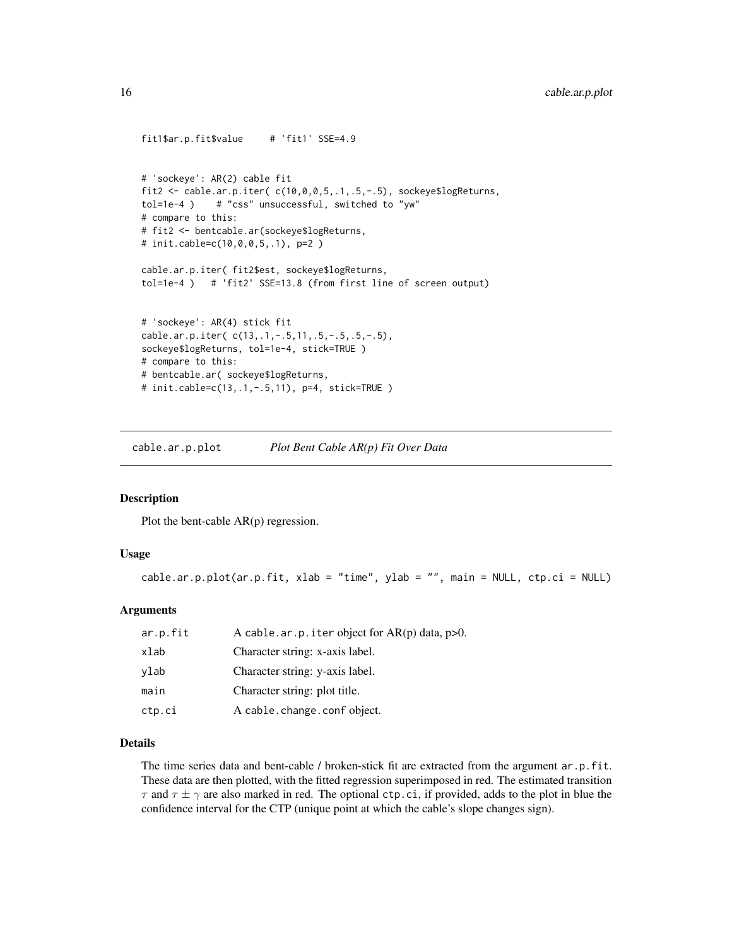```
fit1$ar.p.fit$value # 'fit1' SSE=4.9
# 'sockeye': AR(2) cable fit
fit2 <- cable.ar.p.iter( c(10,0,0,5,.1,.5,-.5), sockeye$logReturns,
tol=1e-4 ) # "css" unsuccessful, switched to "yw"
# compare to this:
# fit2 <- bentcable.ar(sockeye$logReturns,
# init.cable=c(10,0,0,5,.1), p=2 )
cable.ar.p.iter( fit2$est, sockeye$logReturns,
tol=1e-4 ) # 'fit2' SSE=13.8 (from first line of screen output)
# 'sockeye': AR(4) stick fit
cable.ar.p.iter( c(13,.1,-.5,11,.5,-.5,.5,-.5),
sockeye$logReturns, tol=1e-4, stick=TRUE )
# compare to this:
# bentcable.ar( sockeye$logReturns,
# init.cable=c(13,.1,-.5,11), p=4, stick=TRUE )
```
<span id="page-15-1"></span>cable.ar.p.plot *Plot Bent Cable AR(p) Fit Over Data*

# Description

Plot the bent-cable AR(p) regression.

#### Usage

```
cable.ar.p.plot(ar.p.fit, xlab = "time", ylab = "", main = NULL, ctp.ci = NULL)
```
# Arguments

| ar.p.fit | A cable.ar.p.iter object for $AR(p)$ data, $p>0$ . |
|----------|----------------------------------------------------|
| xlab     | Character string: x-axis label.                    |
| ylab     | Character string: y-axis label.                    |
| main     | Character string: plot title.                      |
| ctp.ci   | A cable.change.conf object.                        |

# Details

The time series data and bent-cable / broken-stick fit are extracted from the argument ar.p.fit. These data are then plotted, with the fitted regression superimposed in red. The estimated transition  $\tau$  and  $\tau \pm \gamma$  are also marked in red. The optional ctp.ci, if provided, adds to the plot in blue the confidence interval for the CTP (unique point at which the cable's slope changes sign).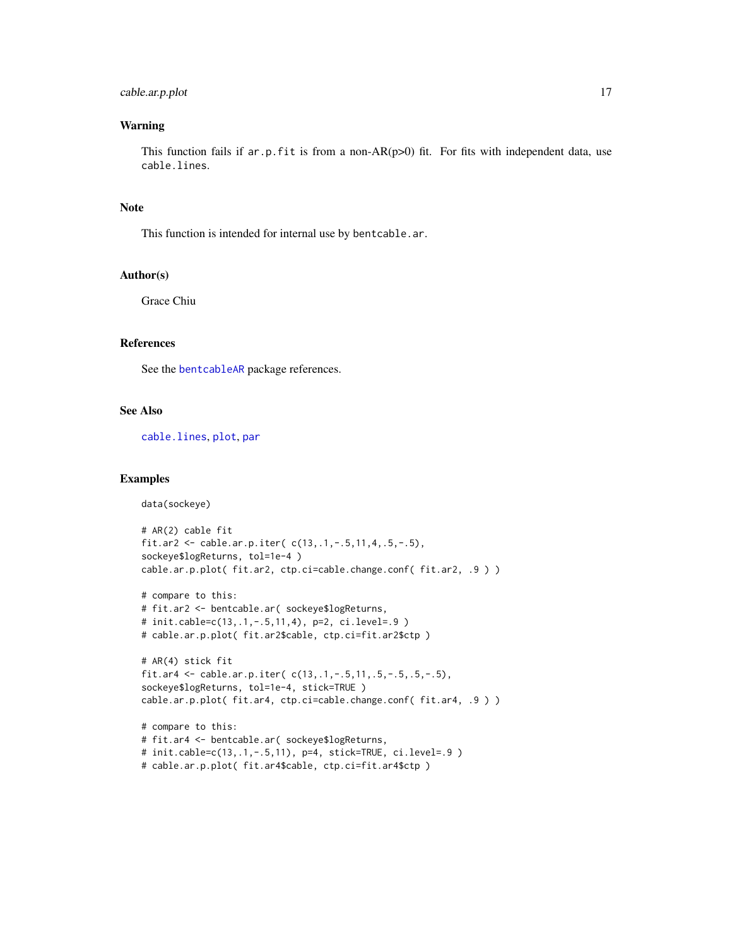# <span id="page-16-0"></span>cable.ar.p.plot 17

#### Warning

This function fails if  $ar.p.fit$  is from a non-AR( $p>0$ ) fit. For fits with independent data, use cable.lines.

#### Note

This function is intended for internal use by bentcable.ar.

# Author(s)

Grace Chiu

#### References

See the [bentcableAR](#page-9-1) package references.

# See Also

[cable.lines](#page-23-1), [plot](#page-0-0), [par](#page-0-0)

### Examples

data(sockeye)

```
# AR(2) cable fit
fit.ar2 <- cable.ar.p.iter( c(13,.1,-.5,11,4,.5,-.5),
sockeye$logReturns, tol=1e-4 )
cable.ar.p.plot( fit.ar2, ctp.ci=cable.change.conf( fit.ar2, .9 ) )
```

```
# compare to this:
# fit.ar2 <- bentcable.ar( sockeye$logReturns,
# init.cable=c(13,.1,-.5,11,4), p=2, ci.level=.9 )
# cable.ar.p.plot( fit.ar2$cable, ctp.ci=fit.ar2$ctp )
```

```
# AR(4) stick fit
fit.ar4 <- cable.ar.p.iter( c(13,.1,-.5,11,.5,-.5,.5,-.5),
sockeye$logReturns, tol=1e-4, stick=TRUE )
cable.ar.p.plot( fit.ar4, ctp.ci=cable.change.conf( fit.ar4, .9 ) )
```

```
# compare to this:
# fit.ar4 <- bentcable.ar( sockeye$logReturns,
# init.cable=c(13,.1,-.5,11), p=4, stick=TRUE, ci.level=.9 )
# cable.ar.p.plot( fit.ar4$cable, ctp.ci=fit.ar4$ctp )
```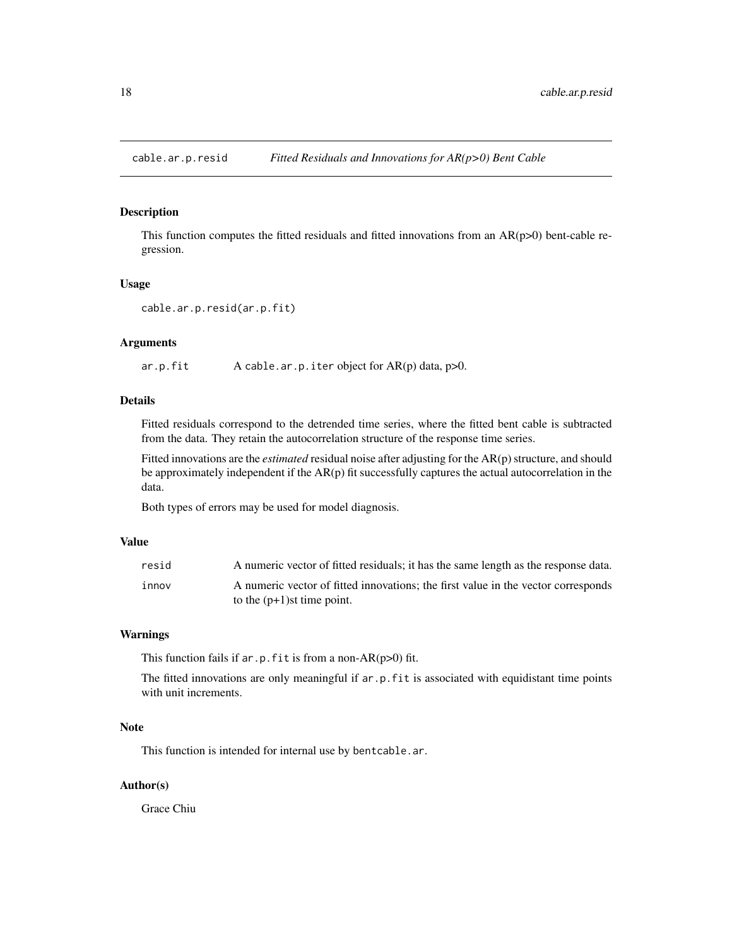<span id="page-17-1"></span><span id="page-17-0"></span>cable.ar.p.resid *Fitted Residuals and Innovations for AR(p>0) Bent Cable*

### Description

This function computes the fitted residuals and fitted innovations from an  $AR(p>0)$  bent-cable regression.

#### Usage

```
cable.ar.p.resid(ar.p.fit)
```
#### Arguments

ar.p.fit A cable.ar.p.iter object for AR(p) data, p>0.

# Details

Fitted residuals correspond to the detrended time series, where the fitted bent cable is subtracted from the data. They retain the autocorrelation structure of the response time series.

Fitted innovations are the *estimated* residual noise after adjusting for the AR(p) structure, and should be approximately independent if the  $AR(p)$  fit successfully captures the actual autocorrelation in the data.

Both types of errors may be used for model diagnosis.

#### Value

| resid | A numeric vector of fitted residuals; it has the same length as the response data. |
|-------|------------------------------------------------------------------------------------|
| innov | A numeric vector of fitted innovations; the first value in the vector corresponds  |
|       | to the $(p+1)$ st time point.                                                      |

#### Warnings

This function fails if  $ar.p.fit$  is from a non-AR( $p>0$ ) fit.

The fitted innovations are only meaningful if ar.p.fit is associated with equidistant time points with unit increments.

#### Note

This function is intended for internal use by bentcable.ar.

#### Author(s)

Grace Chiu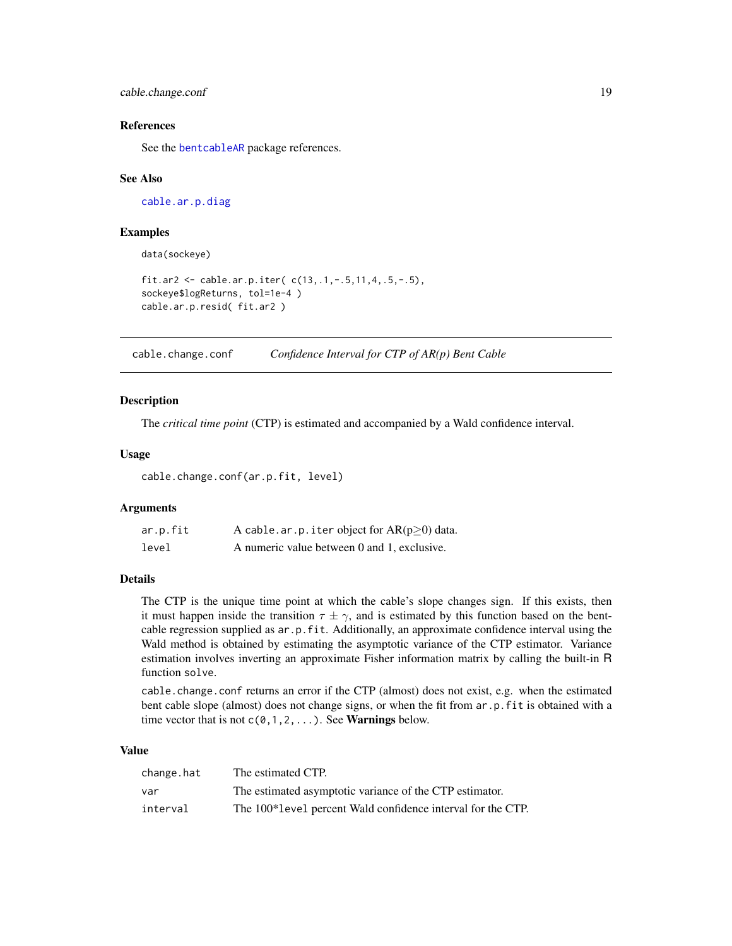<span id="page-18-0"></span>cable.change.conf 19

#### References

See the [bentcableAR](#page-9-1) package references.

#### See Also

[cable.ar.p.diag](#page-11-1)

#### Examples

data(sockeye)

```
fit.ar2 <- cable.ar.p.iter( c(13,.1,-.5,11,4,.5,-.5),
sockeye$logReturns, tol=1e-4 )
cable.ar.p.resid( fit.ar2 )
```
<span id="page-18-1"></span>cable.change.conf *Confidence Interval for CTP of AR(p) Bent Cable*

#### Description

The *critical time point* (CTP) is estimated and accompanied by a Wald confidence interval.

#### Usage

cable.change.conf(ar.p.fit, level)

#### Arguments

| ar.p.fit | A cable.ar.p. iter object for $AR(p\geq 0)$ data. |
|----------|---------------------------------------------------|
| level    | A numeric value between 0 and 1, exclusive.       |

#### Details

The CTP is the unique time point at which the cable's slope changes sign. If this exists, then it must happen inside the transition  $\tau \pm \gamma$ , and is estimated by this function based on the bentcable regression supplied as ar.p.fit. Additionally, an approximate confidence interval using the Wald method is obtained by estimating the asymptotic variance of the CTP estimator. Variance estimation involves inverting an approximate Fisher information matrix by calling the built-in R function solve.

cable.change.conf returns an error if the CTP (almost) does not exist, e.g. when the estimated bent cable slope (almost) does not change signs, or when the fit from ar.p.fit is obtained with a time vector that is not  $c(0,1,2,...)$ . See **Warnings** below.

#### Value

| change.hat | The estimated CTP.                                          |
|------------|-------------------------------------------------------------|
| var        | The estimated asymptotic variance of the CTP estimator.     |
| interval   | The 100*level percent Wald confidence interval for the CTP. |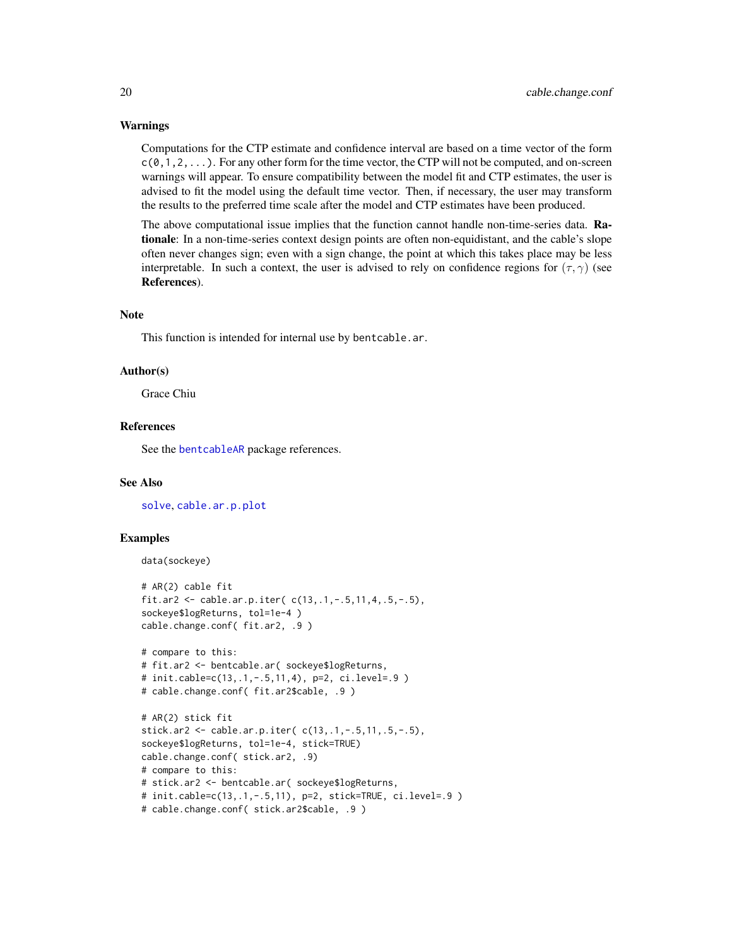#### <span id="page-19-0"></span>Warnings

Computations for the CTP estimate and confidence interval are based on a time vector of the form  $c(0,1,2,\ldots)$ . For any other form for the time vector, the CTP will not be computed, and on-screen warnings will appear. To ensure compatibility between the model fit and CTP estimates, the user is advised to fit the model using the default time vector. Then, if necessary, the user may transform the results to the preferred time scale after the model and CTP estimates have been produced.

The above computational issue implies that the function cannot handle non-time-series data. Rationale: In a non-time-series context design points are often non-equidistant, and the cable's slope often never changes sign; even with a sign change, the point at which this takes place may be less interpretable. In such a context, the user is advised to rely on confidence regions for  $(\tau, \gamma)$  (see References).

#### Note

This function is intended for internal use by bentcable.ar.

#### Author(s)

Grace Chiu

# References

See the [bentcableAR](#page-9-1) package references.

#### See Also

[solve](#page-0-0), [cable.ar.p.plot](#page-15-1)

#### Examples

```
data(sockeye)
```

```
# AR(2) cable fit
fit.ar2 <- cable.ar.p.iter( c(13,.1,-.5,11,4,.5,-.5),
sockeye$logReturns, tol=1e-4 )
cable.change.conf( fit.ar2, .9 )
# compare to this:
# fit.ar2 <- bentcable.ar( sockeye$logReturns,
# init.cable=c(13,.1,-.5,11,4), p=2, ci.level=.9 )
# cable.change.conf( fit.ar2$cable, .9 )
# AR(2) stick fit
stick.ar2 <- cable.ar.p.iter( c(13,.1,-.5,11,.5,-.5),
sockeye$logReturns, tol=1e-4, stick=TRUE)
cable.change.conf( stick.ar2, .9)
```

```
# compare to this:
```

```
# stick.ar2 <- bentcable.ar( sockeye$logReturns,
```

```
# init.cable=c(13,.1,-.5,11), p=2, stick=TRUE, ci.level=.9 )
```

```
# cable.change.conf( stick.ar2$cable, .9 )
```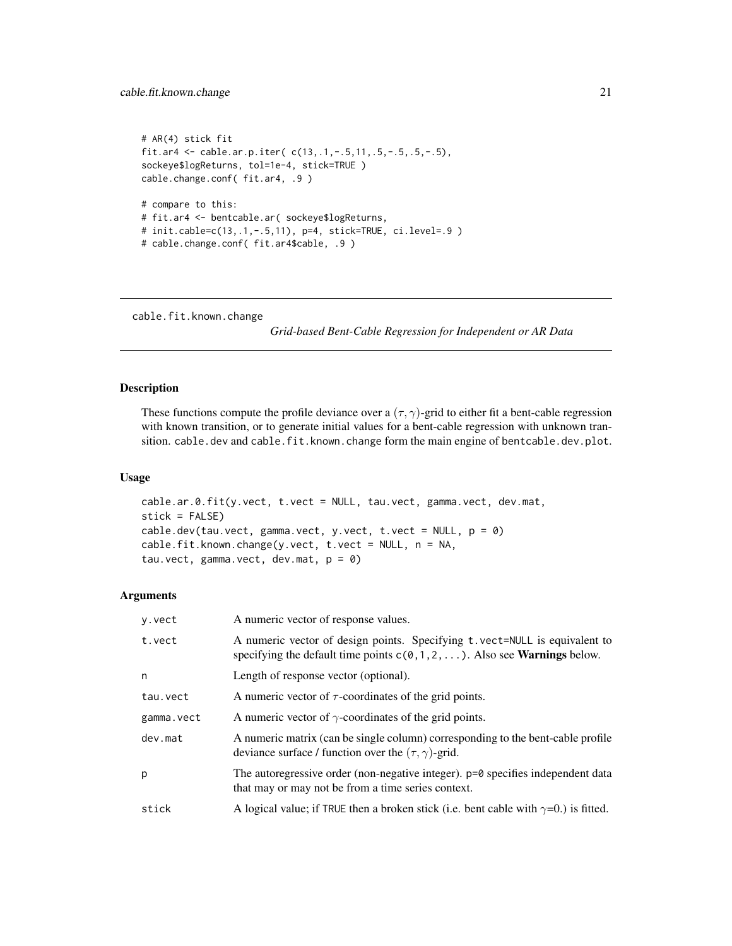```
# AR(4) stick fit
fit.ar4 <- cable.ar.p.iter( c(13,.1,-.5,11,.5,-.5,.5,-.5),
sockeye$logReturns, tol=1e-4, stick=TRUE )
cable.change.conf( fit.ar4, .9 )
# compare to this:
# fit.ar4 <- bentcable.ar( sockeye$logReturns,
# init.cable=c(13,.1,-.5,11), p=4, stick=TRUE, ci.level=.9 )
# cable.change.conf( fit.ar4$cable, .9 )
```

```
cable.fit.known.change
```
*Grid-based Bent-Cable Regression for Independent or AR Data*

# <span id="page-20-1"></span>Description

These functions compute the profile deviance over a  $(\tau, \gamma)$ -grid to either fit a bent-cable regression with known transition, or to generate initial values for a bent-cable regression with unknown transition. cable.dev and cable.fit.known.change form the main engine of bentcable.dev.plot.

#### Usage

cable.ar.0.fit(y.vect, t.vect = NULL, tau.vect, gamma.vect, dev.mat, stick = FALSE) cable.dev(tau.vect, gamma.vect, y.vect, t.vect = NULL,  $p = 0$ ) cable.fit.known.change(y.vect, t.vect = NULL, n = NA, tau.vect, gamma.vect, dev.mat,  $p = 0$ )

#### Arguments

| y.vect     | A numeric vector of response values.                                                                                                                           |
|------------|----------------------------------------------------------------------------------------------------------------------------------------------------------------|
| t.vect     | A numeric vector of design points. Specifying t.vect=NULL is equivalent to<br>specifying the default time points $c(0,1,2,)$ . Also see <b>Warnings</b> below. |
| n          | Length of response vector (optional).                                                                                                                          |
| tau.vect   | A numeric vector of $\tau$ -coordinates of the grid points.                                                                                                    |
| gamma.vect | A numeric vector of $\gamma$ -coordinates of the grid points.                                                                                                  |
| dev.mat    | A numeric matrix (can be single column) corresponding to the bent-cable profile<br>deviance surface / function over the $(\tau, \gamma)$ -grid.                |
| p          | The autoregressive order (non-negative integer). p=0 specifies independent data<br>that may or may not be from a time series context.                          |
| stick      | A logical value; if TRUE then a broken stick (i.e. bent cable with $\gamma=0$ .) is fitted.                                                                    |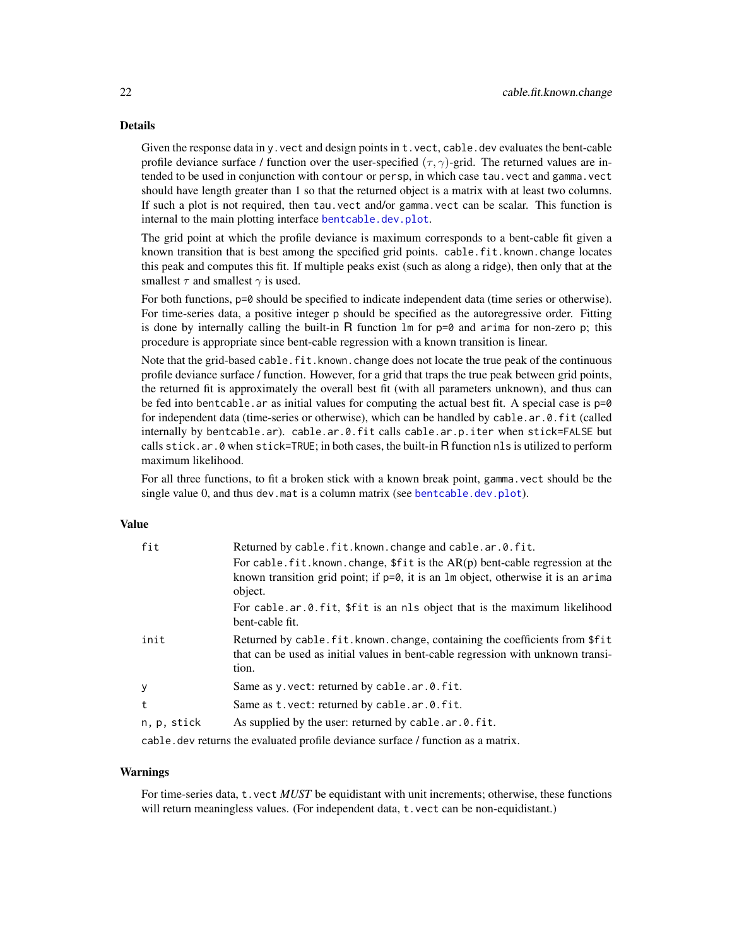# <span id="page-21-0"></span>Details

Given the response data in y. vect and design points in  $t$ . vect, cable. dev evaluates the bent-cable profile deviance surface / function over the user-specified  $(\tau, \gamma)$ -grid. The returned values are intended to be used in conjunction with contour or persp, in which case tau.vect and gamma.vect should have length greater than 1 so that the returned object is a matrix with at least two columns. If such a plot is not required, then tau, vect and/or gamma, vect can be scalar. This function is internal to the main plotting interface [bentcable.dev.plot](#page-1-1).

The grid point at which the profile deviance is maximum corresponds to a bent-cable fit given a known transition that is best among the specified grid points. cable.fit.known.change locates this peak and computes this fit. If multiple peaks exist (such as along a ridge), then only that at the smallest  $\tau$  and smallest  $\gamma$  is used.

For both functions,  $p=0$  should be specified to indicate independent data (time series or otherwise). For time-series data, a positive integer p should be specified as the autoregressive order. Fitting is done by internally calling the built-in R function  $\text{Im}$  for p=0 and arima for non-zero p; this procedure is appropriate since bent-cable regression with a known transition is linear.

Note that the grid-based cable. fit. known. change does not locate the true peak of the continuous profile deviance surface / function. However, for a grid that traps the true peak between grid points, the returned fit is approximately the overall best fit (with all parameters unknown), and thus can be fed into bentcable. ar as initial values for computing the actual best fit. A special case is  $p=0$ for independent data (time-series or otherwise), which can be handled by cable.ar.0.fit (called internally by bentcable.ar). cable.ar.0.fit calls cable.ar.p.iter when stick=FALSE but calls stick.ar.0 when stick=TRUE; in both cases, the built-in R function nls is utilized to perform maximum likelihood.

For all three functions, to fit a broken stick with a known break point, gamma. vect should be the single value 0, and thus dev.mat is a column matrix (see [bentcable.dev.plot](#page-1-1)).

## Value

| fit         | Returned by cable.fit.known.change and cable.ar.0.fit.                                                                                                                     |
|-------------|----------------------------------------------------------------------------------------------------------------------------------------------------------------------------|
|             | For cable $\text{fit}$ . known change, $\text{fit}$ is the AR(p) bent-cable regression at the                                                                              |
|             | known transition grid point; if $p=0$ , it is an $lm$ object, otherwise it is an arima<br>object.                                                                          |
|             | For cable.ar.0.fit, \$fit is an nls object that is the maximum likelihood<br>bent-cable fit.                                                                               |
| init        | Returned by cable. fit. known. change, containing the coefficients from \$fit<br>that can be used as initial values in bent-cable regression with unknown transi-<br>tion. |
| у           | Same as y. vect: returned by cable. ar. 0. fit.                                                                                                                            |
| t           | Same as t. vect: returned by cable. ar. 0. fit.                                                                                                                            |
| n, p, stick | As supplied by the user: returned by cable.ar.0.fit.                                                                                                                       |
|             |                                                                                                                                                                            |

cable.dev returns the evaluated profile deviance surface / function as a matrix.

#### Warnings

For time-series data, t.vect *MUST* be equidistant with unit increments; otherwise, these functions will return meaningless values. (For independent data, t.vect can be non-equidistant.)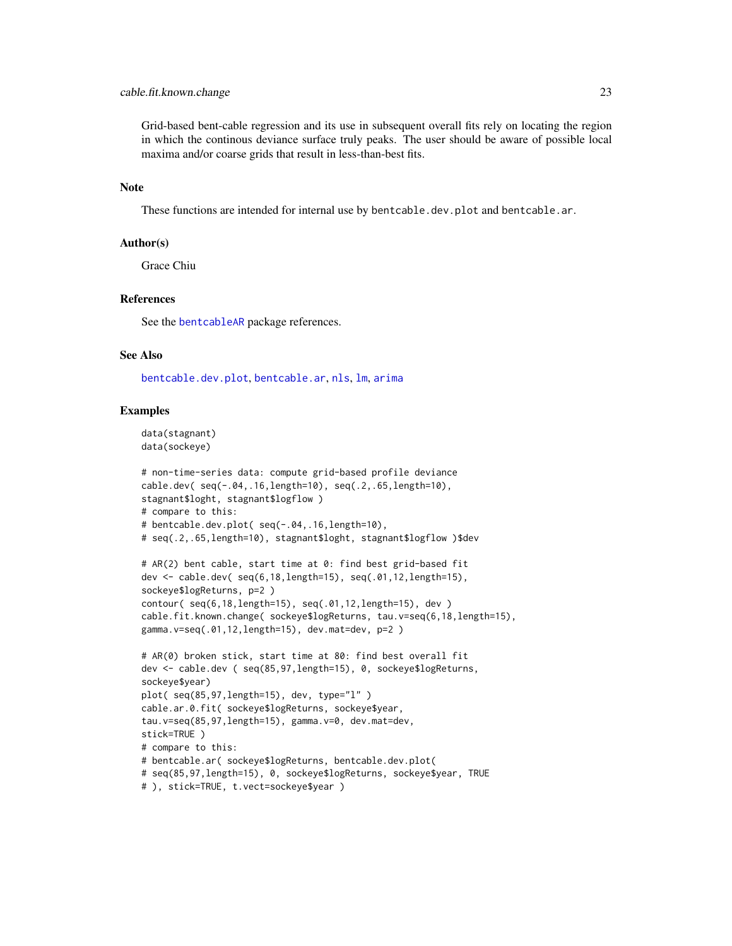#### <span id="page-22-0"></span>cable.fit.known.change 23

Grid-based bent-cable regression and its use in subsequent overall fits rely on locating the region in which the continous deviance surface truly peaks. The user should be aware of possible local maxima and/or coarse grids that result in less-than-best fits.

### Note

These functions are intended for internal use by bentcable.dev.plot and bentcable.ar.

# Author(s)

Grace Chiu

#### References

See the [bentcableAR](#page-9-1) package references.

#### See Also

[bentcable.dev.plot](#page-1-1), [bentcable.ar](#page-1-2), [nls](#page-0-0), [lm](#page-0-0), [arima](#page-0-0)

#### Examples

```
data(stagnant)
data(sockeye)
```

```
# non-time-series data: compute grid-based profile deviance
cable.dev( seq(-.04,.16,length=10), seq(.2,.65,length=10),
stagnant$loght, stagnant$logflow )
# compare to this:
# bentcable.dev.plot( seq(-.04,.16,length=10),
# seq(.2,.65,length=10), stagnant$loght, stagnant$logflow )$dev
# AR(2) bent cable, start time at 0: find best grid-based fit
dev <- cable.dev( seq(6,18,length=15), seq(.01,12,length=15),
sockeye$logReturns, p=2 )
contour( seq(6,18,length=15), seq(.01,12,length=15), dev )
cable.fit.known.change( sockeye$logReturns, tau.v=seq(6,18,length=15),
gamma.v=seq(.01,12,length=15), dev.mat=dev, p=2 )
```

```
# AR(0) broken stick, start time at 80: find best overall fit
dev <- cable.dev ( seq(85,97,length=15), 0, sockeye$logReturns,
sockeye$year)
plot( seq(85,97,length=15), dev, type="l" )
cable.ar.0.fit( sockeye$logReturns, sockeye$year,
tau.v=seq(85,97,length=15), gamma.v=0, dev.mat=dev,
stick=TRUE )
# compare to this:
# bentcable.ar( sockeye$logReturns, bentcable.dev.plot(
# seq(85,97,length=15), 0, sockeye$logReturns, sockeye$year, TRUE
# ), stick=TRUE, t.vect=sockeye$year )
```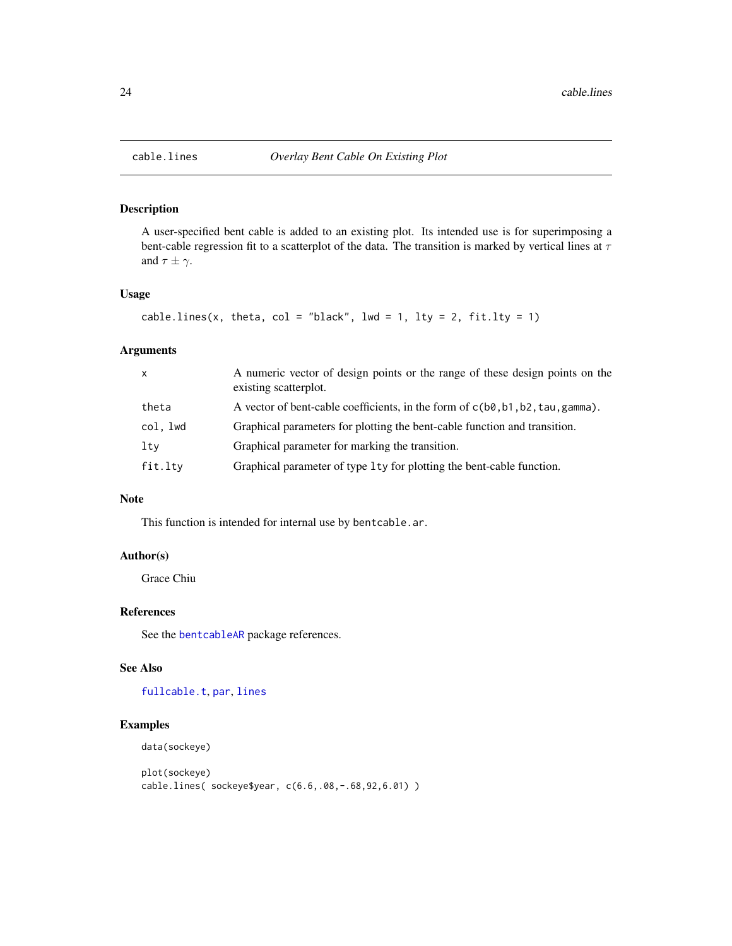# Description

A user-specified bent cable is added to an existing plot. Its intended use is for superimposing a bent-cable regression fit to a scatterplot of the data. The transition is marked by vertical lines at  $\tau$ and  $\tau \pm \gamma$ .

#### Usage

```
cable.lines(x, theta, col = "black", lwd = 1, lty = 2, fit.lty = 1)
```
# Arguments

| $\mathsf{x}$ | A numeric vector of design points or the range of these design points on the<br>existing scatterplot. |
|--------------|-------------------------------------------------------------------------------------------------------|
| theta        | A vector of bent-cable coefficients, in the form of $c(b0, b1, b2, tau, gamma)$ .                     |
| col. lwd     | Graphical parameters for plotting the bent-cable function and transition.                             |
| lty          | Graphical parameter for marking the transition.                                                       |
| fit.lty      | Graphical parameter of type 1ty for plotting the bent-cable function.                                 |

# Note

This function is intended for internal use by bentcable.ar.

# Author(s)

Grace Chiu

# References

See the [bentcableAR](#page-9-1) package references.

#### See Also

[fullcable.t](#page-24-1), [par](#page-0-0), [lines](#page-0-0)

#### Examples

```
data(sockeye)
```

```
plot(sockeye)
cable.lines( sockeye$year, c(6.6,.08,-.68,92,6.01) )
```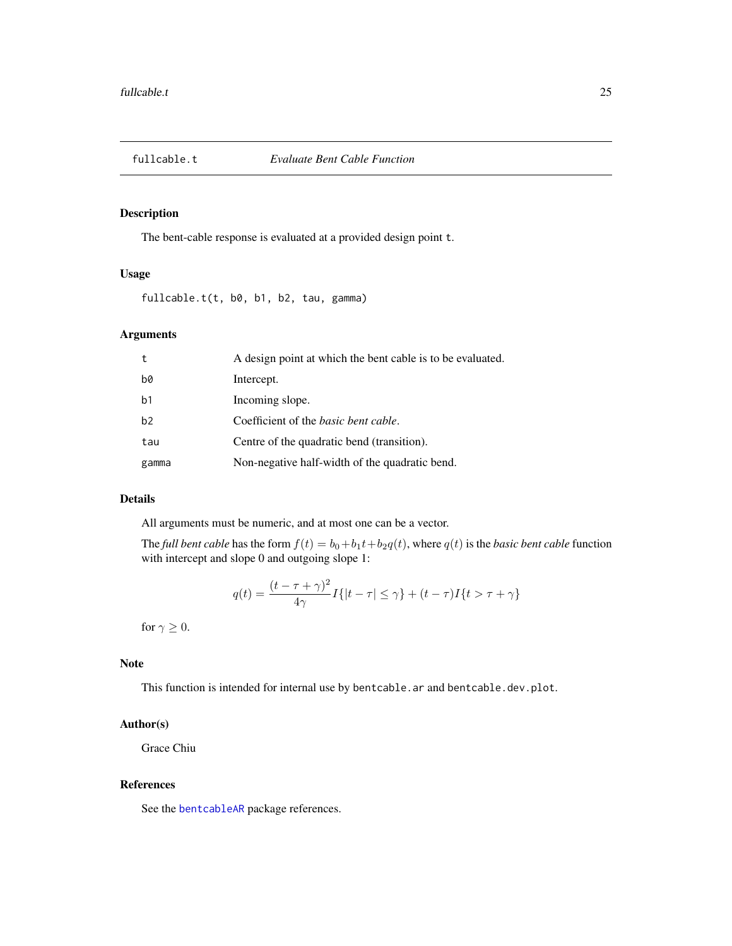<span id="page-24-1"></span><span id="page-24-0"></span>

# Description

The bent-cable response is evaluated at a provided design point t.

#### Usage

fullcable.t(t, b0, b1, b2, tau, gamma)

# Arguments

| t              | A design point at which the bent cable is to be evaluated. |
|----------------|------------------------------------------------------------|
| b0             | Intercept.                                                 |
| b <sub>1</sub> | Incoming slope.                                            |
| h <sub>2</sub> | Coefficient of the <i>basic bent cable</i> .               |
| tau            | Centre of the quadratic bend (transition).                 |
| gamma          | Non-negative half-width of the quadratic bend.             |

# Details

All arguments must be numeric, and at most one can be a vector.

The *full bent cable* has the form  $f(t) = b_0 + b_1t + b_2q(t)$ , where  $q(t)$  is the *basic bent cable* function with intercept and slope 0 and outgoing slope 1:

$$
q(t) = \frac{(t - \tau + \gamma)^2}{4\gamma} I\{|t - \tau| \le \gamma\} + (t - \tau)I\{t > \tau + \gamma\}
$$

for  $\gamma \geq 0$ .

# Note

This function is intended for internal use by bentcable.ar and bentcable.dev.plot.

# Author(s)

Grace Chiu

#### References

See the [bentcableAR](#page-9-1) package references.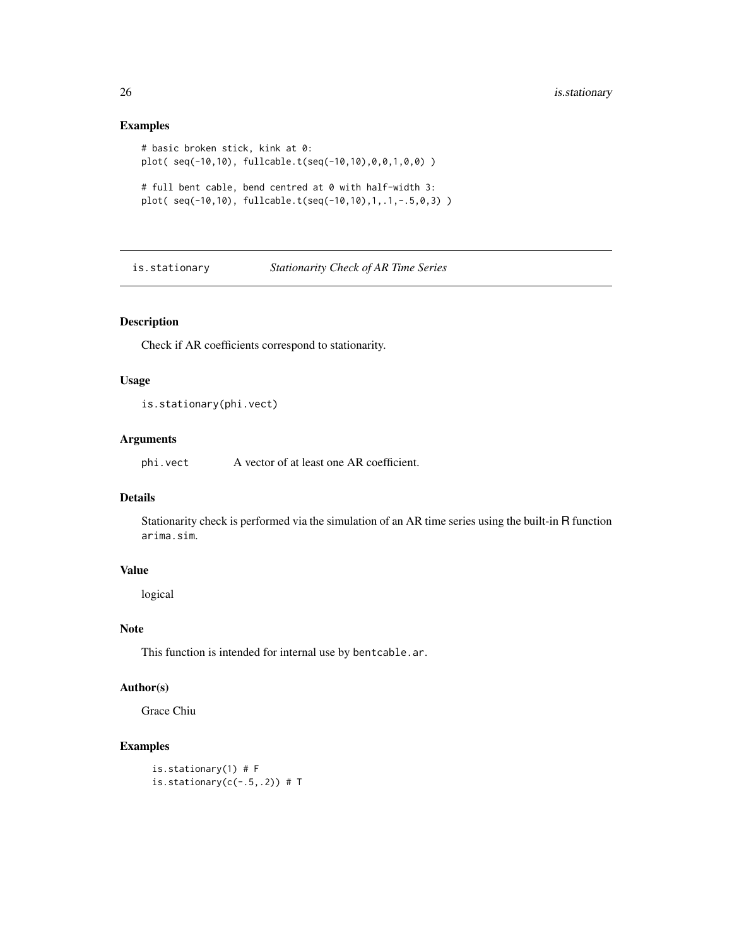# Examples

```
# basic broken stick, kink at 0:
plot( seq(-10,10), fullcable.t(seq(-10,10),0,0,1,0,0) )
# full bent cable, bend centred at 0 with half-width 3:
plot( seq(-10,10), fullcable.t(seq(-10,10),1,.1,-.5,0,3) )
```
is.stationary *Stationarity Check of AR Time Series*

# Description

Check if AR coefficients correspond to stationarity.

# Usage

is.stationary(phi.vect)

#### Arguments

phi.vect A vector of at least one AR coefficient.

#### Details

Stationarity check is performed via the simulation of an AR time series using the built-in R function arima.sim.

#### Value

logical

# Note

This function is intended for internal use by bentcable.ar.

#### Author(s)

Grace Chiu

# Examples

```
is.stationary(1) # F
is.stationary(c(-.5,.2)) # T
```
<span id="page-25-0"></span>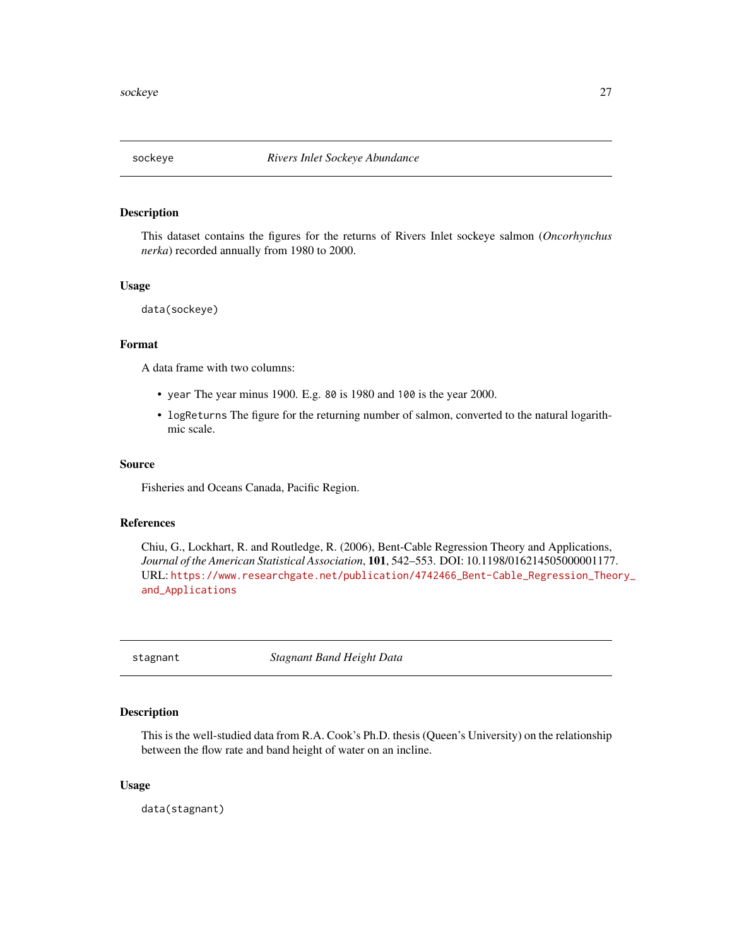<span id="page-26-0"></span>

#### Description

This dataset contains the figures for the returns of Rivers Inlet sockeye salmon (*Oncorhynchus nerka*) recorded annually from 1980 to 2000.

#### Usage

```
data(sockeye)
```
# Format

A data frame with two columns:

- year The year minus 1900. E.g. 80 is 1980 and 100 is the year 2000.
- logReturns The figure for the returning number of salmon, converted to the natural logarithmic scale.

#### Source

Fisheries and Oceans Canada, Pacific Region.

### References

Chiu, G., Lockhart, R. and Routledge, R. (2006), Bent-Cable Regression Theory and Applications, *Journal of the American Statistical Association*, 101, 542–553. DOI: 10.1198/016214505000001177. URL: [https://www.researchgate.net/publication/4742466\\_Bent-Cable\\_Regression\\_Theo](https://www.researchgate.net/publication/4742466_Bent-Cable_Regression_Theory_and_Applications)ry\_ [and\\_Applications](https://www.researchgate.net/publication/4742466_Bent-Cable_Regression_Theory_and_Applications)

stagnant *Stagnant Band Height Data*

#### Description

This is the well-studied data from R.A. Cook's Ph.D. thesis (Queen's University) on the relationship between the flow rate and band height of water on an incline.

#### Usage

data(stagnant)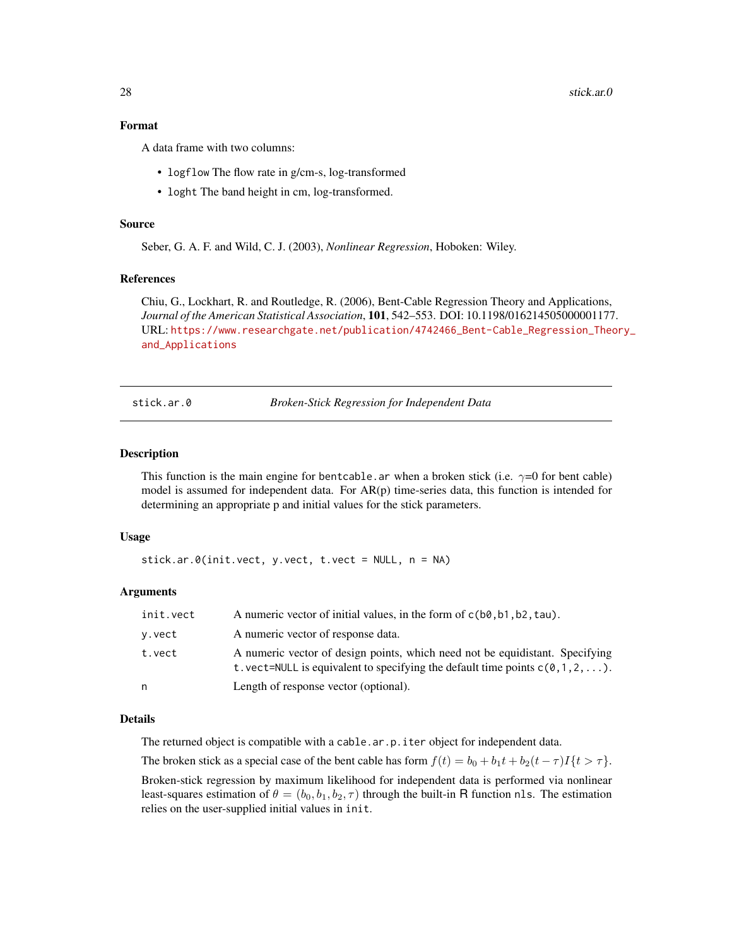#### <span id="page-27-0"></span>Format

A data frame with two columns:

- logflow The flow rate in g/cm-s, log-transformed
- loght The band height in cm, log-transformed.

#### Source

Seber, G. A. F. and Wild, C. J. (2003), *Nonlinear Regression*, Hoboken: Wiley.

#### References

Chiu, G., Lockhart, R. and Routledge, R. (2006), Bent-Cable Regression Theory and Applications, *Journal of the American Statistical Association*, 101, 542–553. DOI: 10.1198/016214505000001177. URL: [https://www.researchgate.net/publication/4742466\\_Bent-Cable\\_Regression\\_Theo](https://www.researchgate.net/publication/4742466_Bent-Cable_Regression_Theory_and_Applications)ry\_ [and\\_Applications](https://www.researchgate.net/publication/4742466_Bent-Cable_Regression_Theory_and_Applications)

<span id="page-27-1"></span>stick.ar.0 *Broken-Stick Regression for Independent Data*

#### Description

This function is the main engine for bentcable.ar when a broken stick (i.e.  $\gamma=0$  for bent cable) model is assumed for independent data. For  $AR(p)$  time-series data, this function is intended for determining an appropriate p and initial values for the stick parameters.

#### Usage

```
stick.ar.0(init.vect, y.vect, t.vect = NULL, n = NA)
```
#### Arguments

| init.vect | A numeric vector of initial values, in the form of $c(b\theta, b\theta, b\theta, \tau)$ , tau).                                                                |
|-----------|----------------------------------------------------------------------------------------------------------------------------------------------------------------|
| v.vect    | A numeric vector of response data.                                                                                                                             |
| t.vect    | A numeric vector of design points, which need not be equidistant. Specifying<br>t. vect=NULL is equivalent to specifying the default time points $c(0,1,2,)$ . |
| n         | Length of response vector (optional).                                                                                                                          |

#### Details

The returned object is compatible with a cable.ar.p.iter object for independent data.

The broken stick as a special case of the bent cable has form  $f(t) = b_0 + b_1t + b_2(t - \tau)I(t > \tau)$ .

Broken-stick regression by maximum likelihood for independent data is performed via nonlinear least-squares estimation of  $\theta = (b_0, b_1, b_2, \tau)$  through the built-in R function nls. The estimation relies on the user-supplied initial values in init.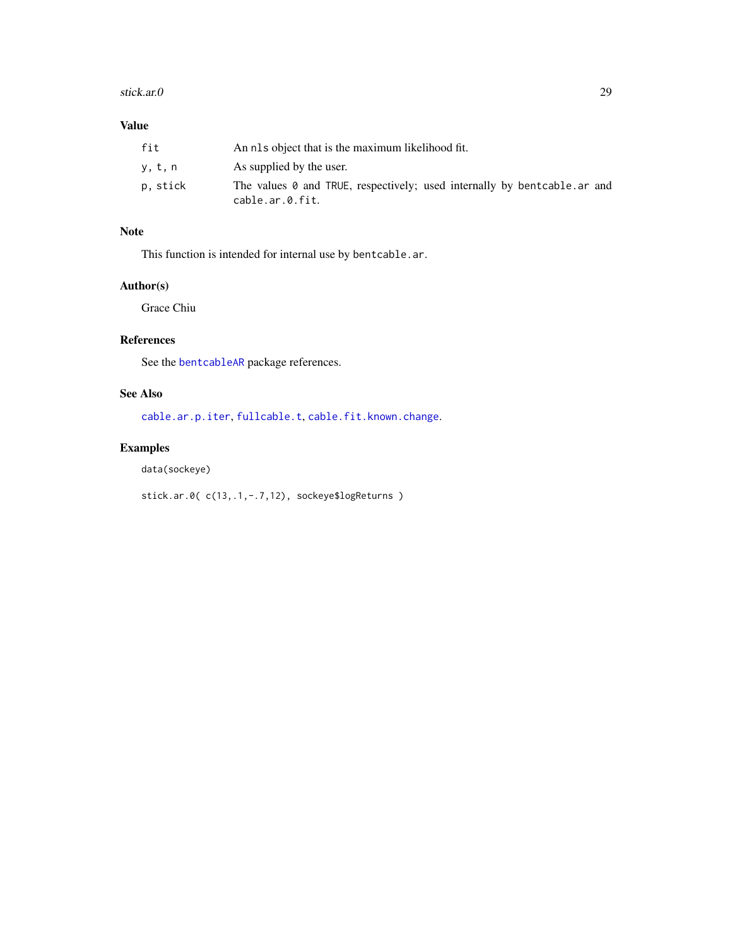#### <span id="page-28-0"></span>stick.ar.0 29

# Value

| fit      | An nls object that is the maximum likelihood fit.                                            |
|----------|----------------------------------------------------------------------------------------------|
| y, t, n  | As supplied by the user.                                                                     |
| p, stick | The values 0 and TRUE, respectively; used internally by bentcable. ar and<br>cable.ar.0.fit. |

# Note

This function is intended for internal use by bentcable.ar.

# Author(s)

Grace Chiu

# References

See the [bentcableAR](#page-9-1) package references.

# See Also

[cable.ar.p.iter](#page-12-1), [fullcable.t](#page-24-1), [cable.fit.known.change](#page-20-2).

# Examples

data(sockeye)

stick.ar.0( c(13,.1,-.7,12), sockeye\$logReturns )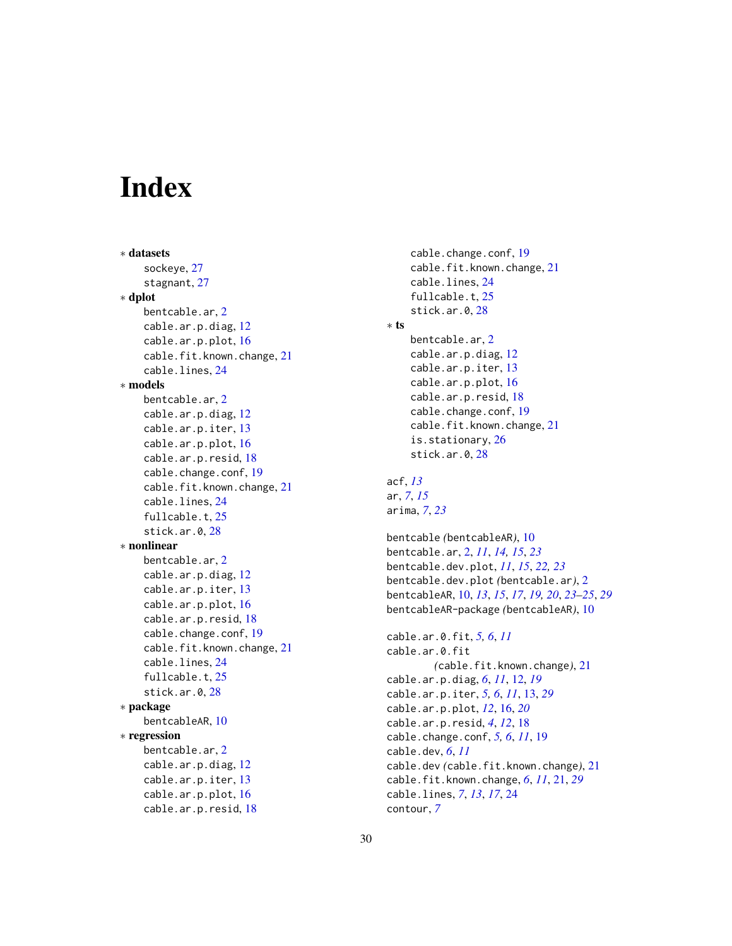# <span id="page-29-0"></span>Index

```
∗ datasets
    sockeye, 27
    stagnant, 27
∗ dplot
    bentcable.ar, 2
    cable.ar.p.diag, 12
    cable.ar.p.plot, 16
    cable.fit.known.change, 21
    cable.lines, 24
∗ models
    bentcable.ar, 2
    cable.ar.p.diag, 12
    cable.ar.p.iter, 13
    cable.ar.p.plot, 16
    cable.ar.p.resid, 18
    cable.change.conf, 19
    cable.fit.known.change, 21
    cable.lines, 24
    fullcable.t, 25
    stick.ar.0, 28
∗ nonlinear
    bentcable.ar, 2
    cable.ar.p.diag, 12
    cable.ar.p.iter, 13
    cable.ar.p.plot, 16
    cable.ar.p.resid, 18
    cable.change.conf, 19
    cable.fit.known.change, 21
    cable.lines, 24
    fullcable.t, 25
    stick.ar.0, 28
∗ package
    bentcableAR, 10
∗ regression
    bentcable.ar, 2
    cable.ar.p.diag, 12
    cable.ar.p.iter, 13
    cable.ar.p.plot, 16
    cable.ar.p.resid, 18
```

```
cable.change.conf, 19
    cable.fit.known.change, 21
    cable.lines, 24
    fullcable.t, 25
    stick.ar.0, 28
∗ ts
    bentcable.ar, 2
    cable.ar.p.diag, 12
    cable.ar.p.iter, 13
    cable.ar.p.plot, 16
    cable.ar.p.resid, 18
    cable.change.conf, 19
    cable.fit.known.change, 21
    is.stationary, 26
    stick.ar.0, 28
acf, 13
ar, 7, 15
arima, 7, 23
bentcable (bentcableAR), 10
bentcable.ar, 2, 11, 14, 15, 23
bentcable.dev.plot, 11, 15, 22, 23
bentcable.dev.plot (bentcable.ar), 2
bentcableAR, 10, 13, 15, 17, 19, 20, 23–25, 29
bentcableAR-package (bentcableAR), 10
cable.ar.0.fit, 5, 6, 11
cable.ar.0.fit
        (cable.fit.known.change), 21
cable.ar.p.diag, 6, 11, 12, 19
cable.ar.p.iter, 5, 6, 11, 13, 29
cable.ar.p.plot, 12, 16, 20
cable.ar.p.resid, 4, 12, 18
cable.change.conf, 5, 6, 11, 19
cable.dev, 6, 11
cable.dev (cable.fit.known.change), 21
cable.fit.known.change, 6, 11, 21, 29
cable.lines, 7, 13, 17, 24
contour, 7
```